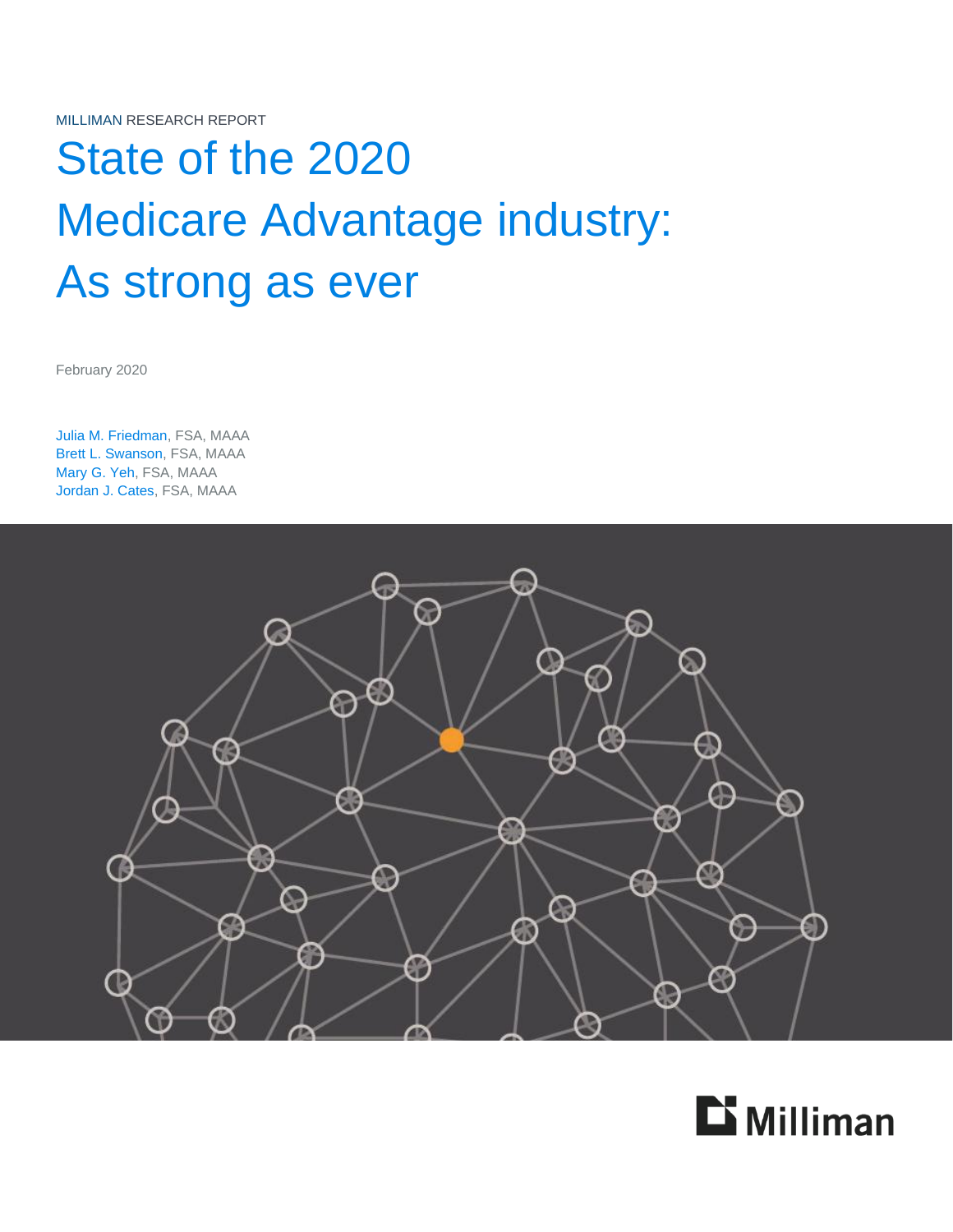# State of the 2020 Medicare Advantage industry: As strong as ever

February 2020

Julia M. Friedman, FSA, MAAA Brett L. Swanson, FSA, MAAA Mary G. Yeh, FSA, MAAA Jordan J. Cates, FSA, MAAA



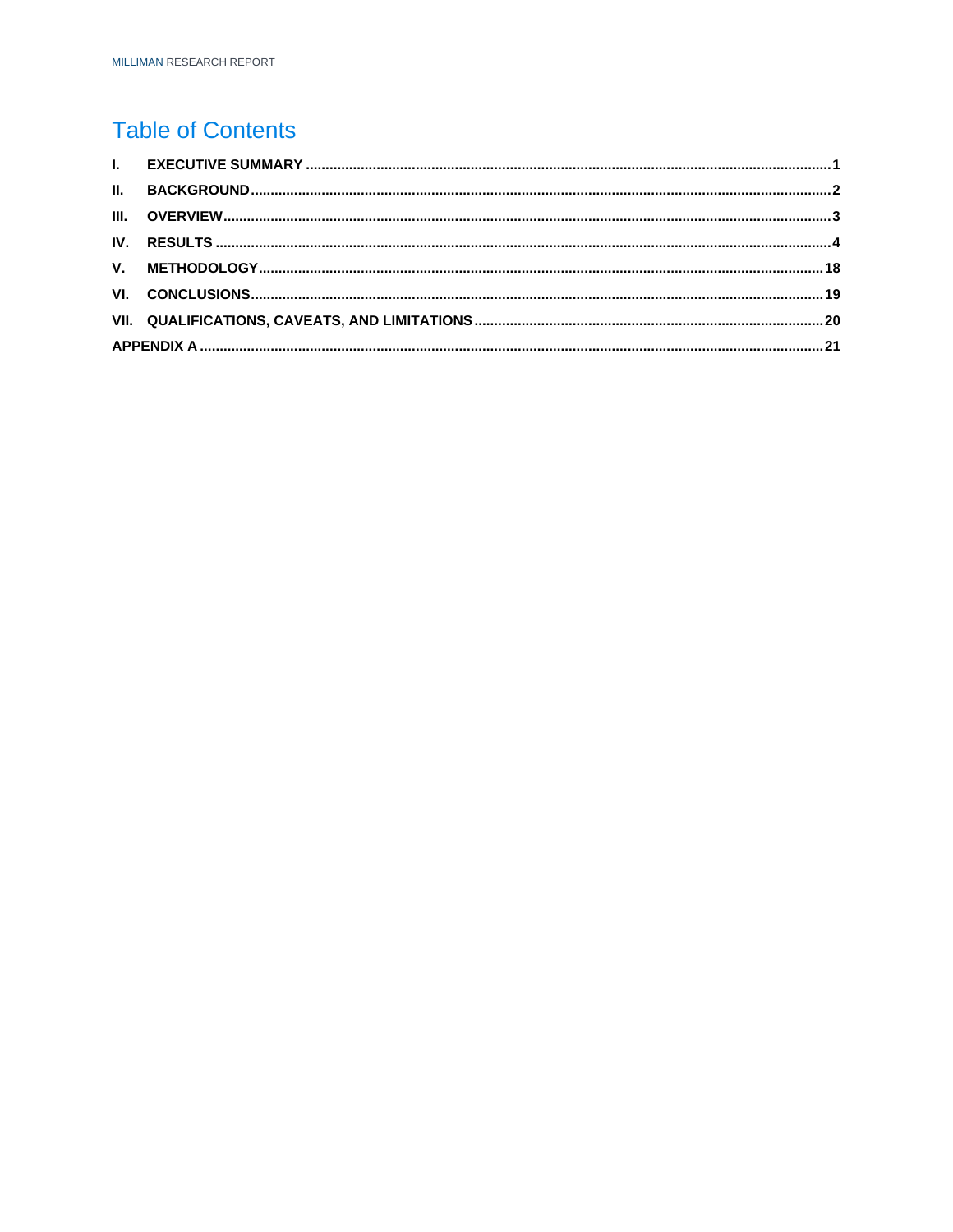## **Table of Contents**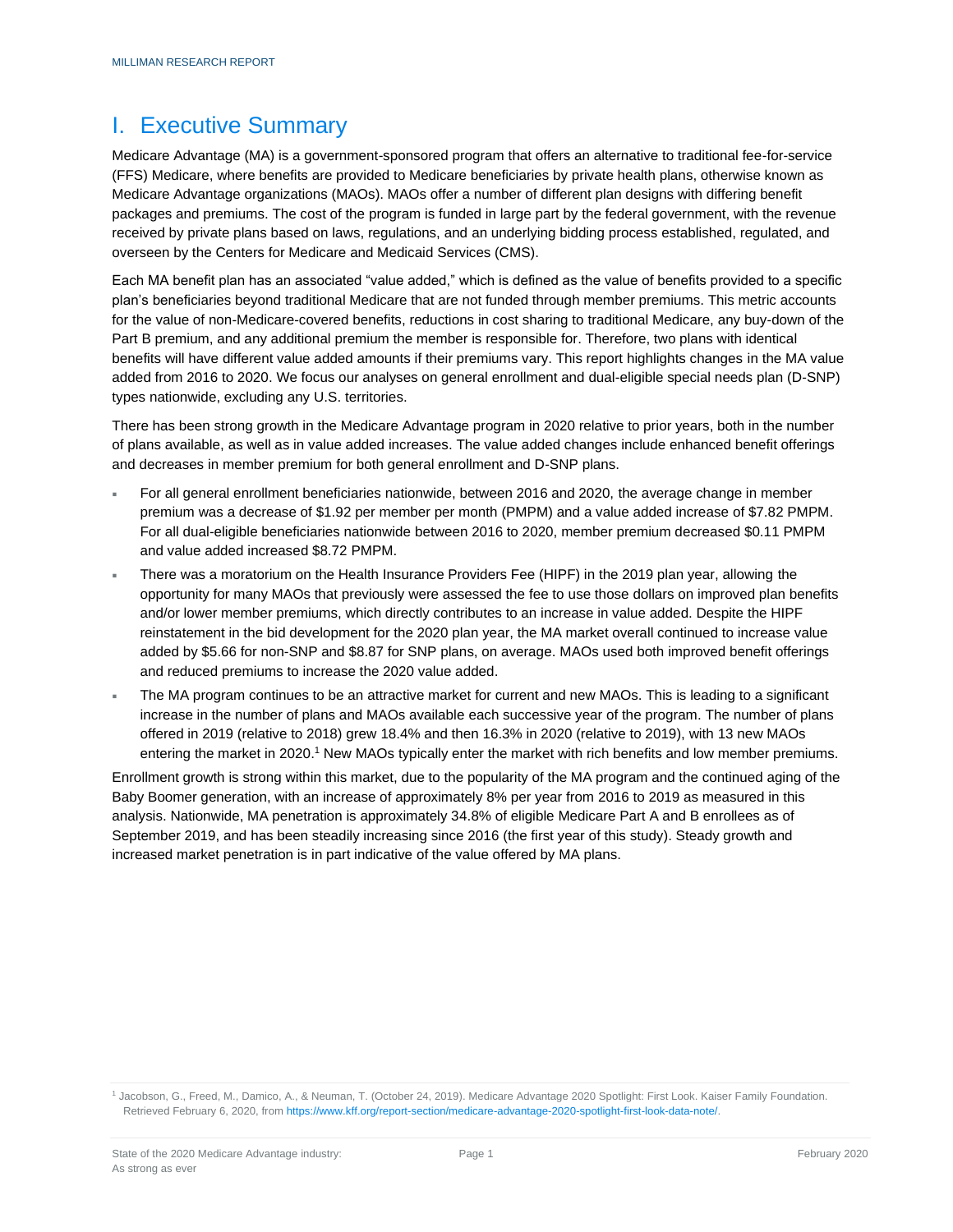### <span id="page-2-0"></span>I. Executive Summary

Medicare Advantage (MA) is a government-sponsored program that offers an alternative to traditional fee-for-service (FFS) Medicare, where benefits are provided to Medicare beneficiaries by private health plans, otherwise known as Medicare Advantage organizations (MAOs). MAOs offer a number of different plan designs with differing benefit packages and premiums. The cost of the program is funded in large part by the federal government, with the revenue received by private plans based on laws, regulations, and an underlying bidding process established, regulated, and overseen by the Centers for Medicare and Medicaid Services (CMS).

Each MA benefit plan has an associated "value added," which is defined as the value of benefits provided to a specific plan's beneficiaries beyond traditional Medicare that are not funded through member premiums. This metric accounts for the value of non-Medicare-covered benefits, reductions in cost sharing to traditional Medicare, any buy-down of the Part B premium, and any additional premium the member is responsible for. Therefore, two plans with identical benefits will have different value added amounts if their premiums vary. This report highlights changes in the MA value added from 2016 to 2020. We focus our analyses on general enrollment and dual-eligible special needs plan (D-SNP) types nationwide, excluding any U.S. territories.

There has been strong growth in the Medicare Advantage program in 2020 relative to prior years, both in the number of plans available, as well as in value added increases. The value added changes include enhanced benefit offerings and decreases in member premium for both general enrollment and D-SNP plans.

- For all general enrollment beneficiaries nationwide, between 2016 and 2020, the average change in member premium was a decrease of \$1.92 per member per month (PMPM) and a value added increase of \$7.82 PMPM. For all dual-eligible beneficiaries nationwide between 2016 to 2020, member premium decreased \$0.11 PMPM and value added increased \$8.72 PMPM.
- There was a moratorium on the Health Insurance Providers Fee (HIPF) in the 2019 plan year, allowing the opportunity for many MAOs that previously were assessed the fee to use those dollars on improved plan benefits and/or lower member premiums, which directly contributes to an increase in value added. Despite the HIPF reinstatement in the bid development for the 2020 plan year, the MA market overall continued to increase value added by \$5.66 for non-SNP and \$8.87 for SNP plans, on average. MAOs used both improved benefit offerings and reduced premiums to increase the 2020 value added.
- The MA program continues to be an attractive market for current and new MAOs. This is leading to a significant increase in the number of plans and MAOs available each successive year of the program. The number of plans offered in 2019 (relative to 2018) grew 18.4% and then 16.3% in 2020 (relative to 2019), with 13 new MAOs entering the market in 2020.<sup>1</sup> New MAOs typically enter the market with rich benefits and low member premiums.

Enrollment growth is strong within this market, due to the popularity of the MA program and the continued aging of the Baby Boomer generation, with an increase of approximately 8% per year from 2016 to 2019 as measured in this analysis. Nationwide, MA penetration is approximately 34.8% of eligible Medicare Part A and B enrollees as of September 2019, and has been steadily increasing since 2016 (the first year of this study). Steady growth and increased market penetration is in part indicative of the value offered by MA plans.

<sup>1</sup> Jacobson, G., Freed, M., Damico, A., & Neuman, T. (October 24, 2019). Medicare Advantage 2020 Spotlight: First Look. Kaiser Family Foundation. Retrieved February 6, 2020, fro[m https://www.kff.org/report-section/medicare-advantage-2020-spotlight-first-look-data-note/.](https://www.kff.org/report-section/medicare-advantage-2020-spotlight-first-look-data-note/)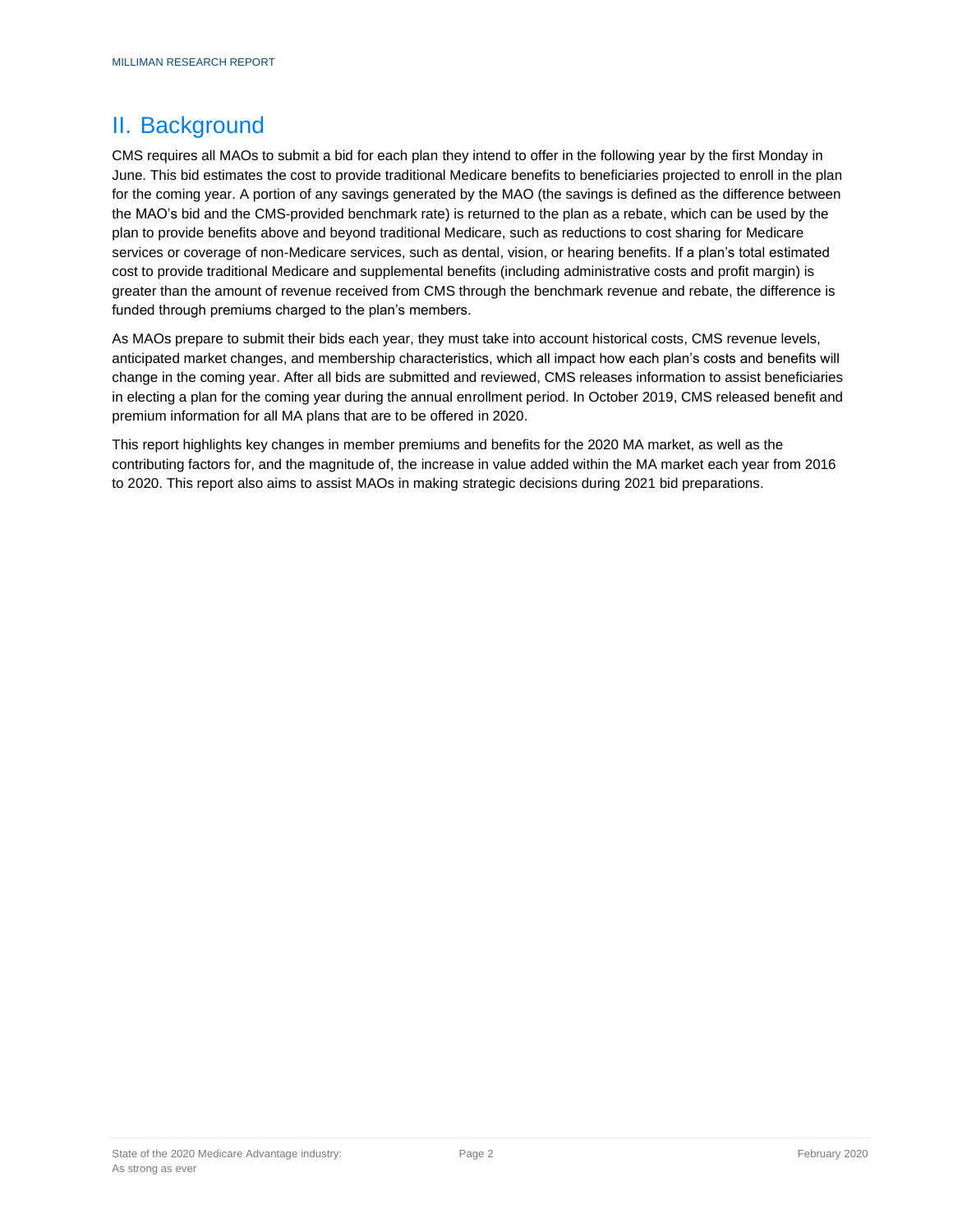### <span id="page-3-0"></span>II. Background

CMS requires all MAOs to submit a bid for each plan they intend to offer in the following year by the first Monday in June. This bid estimates the cost to provide traditional Medicare benefits to beneficiaries projected to enroll in the plan for the coming year. A portion of any savings generated by the MAO (the savings is defined as the difference between the MAO's bid and the CMS-provided benchmark rate) is returned to the plan as a rebate, which can be used by the plan to provide benefits above and beyond traditional Medicare, such as reductions to cost sharing for Medicare services or coverage of non-Medicare services, such as dental, vision, or hearing benefits. If a plan's total estimated cost to provide traditional Medicare and supplemental benefits (including administrative costs and profit margin) is greater than the amount of revenue received from CMS through the benchmark revenue and rebate, the difference is funded through premiums charged to the plan's members.

As MAOs prepare to submit their bids each year, they must take into account historical costs, CMS revenue levels, anticipated market changes, and membership characteristics, which all impact how each plan's costs and benefits will change in the coming year. After all bids are submitted and reviewed, CMS releases information to assist beneficiaries in electing a plan for the coming year during the annual enrollment period. In October 2019, CMS released benefit and premium information for all MA plans that are to be offered in 2020.

This report highlights key changes in member premiums and benefits for the 2020 MA market, as well as the contributing factors for, and the magnitude of, the increase in value added within the MA market each year from 2016 to 2020. This report also aims to assist MAOs in making strategic decisions during 2021 bid preparations.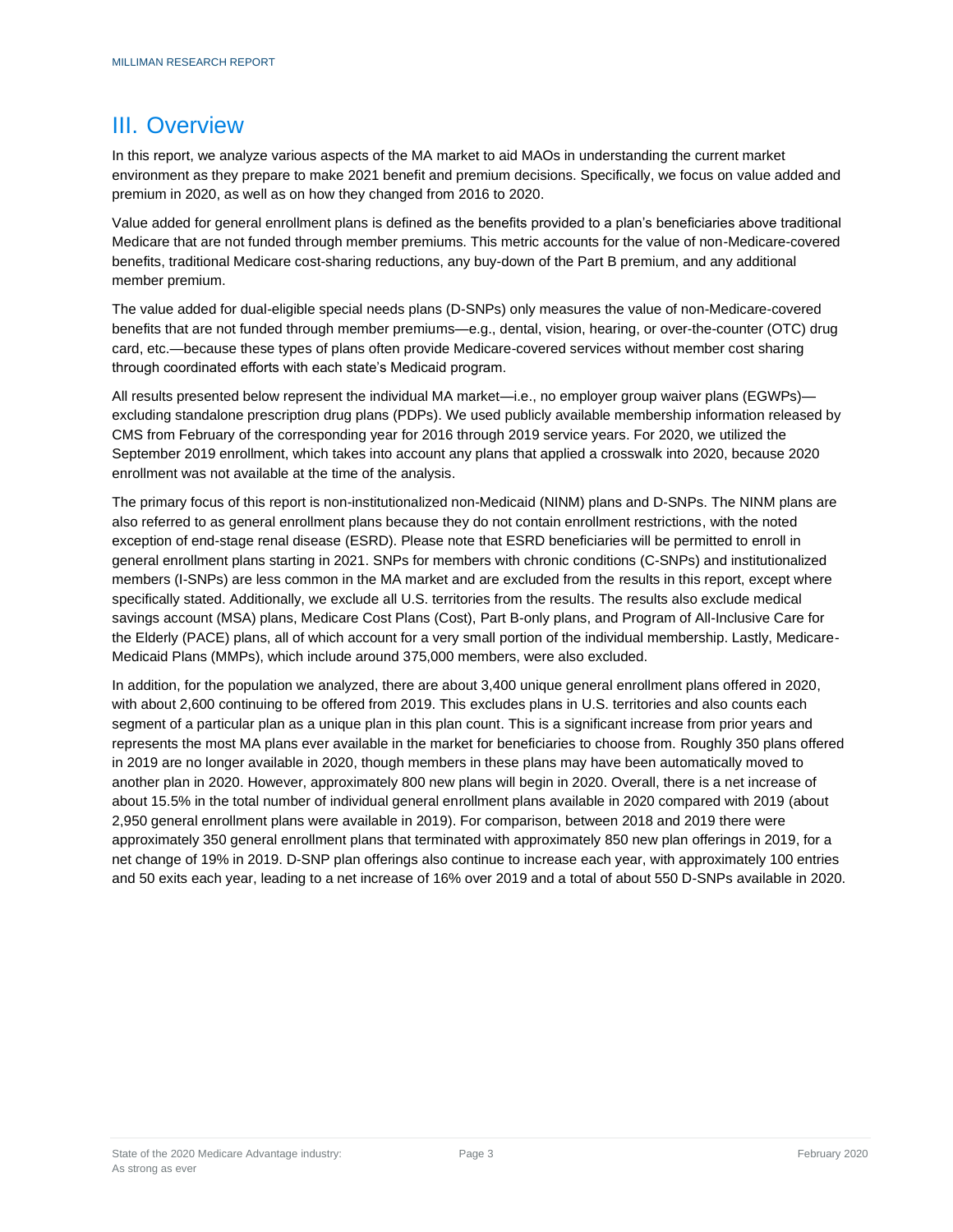### <span id="page-4-0"></span>III. Overview

In this report, we analyze various aspects of the MA market to aid MAOs in understanding the current market environment as they prepare to make 2021 benefit and premium decisions. Specifically, we focus on value added and premium in 2020, as well as on how they changed from 2016 to 2020.

Value added for general enrollment plans is defined as the benefits provided to a plan's beneficiaries above traditional Medicare that are not funded through member premiums. This metric accounts for the value of non-Medicare-covered benefits, traditional Medicare cost-sharing reductions, any buy-down of the Part B premium, and any additional member premium.

The value added for dual-eligible special needs plans (D-SNPs) only measures the value of non-Medicare-covered benefits that are not funded through member premiums—e.g., dental, vision, hearing, or over-the-counter (OTC) drug card, etc.—because these types of plans often provide Medicare-covered services without member cost sharing through coordinated efforts with each state's Medicaid program.

All results presented below represent the individual MA market—i.e., no employer group waiver plans (EGWPs) excluding standalone prescription drug plans (PDPs). We used publicly available membership information released by CMS from February of the corresponding year for 2016 through 2019 service years. For 2020, we utilized the September 2019 enrollment, which takes into account any plans that applied a crosswalk into 2020, because 2020 enrollment was not available at the time of the analysis.

The primary focus of this report is non-institutionalized non-Medicaid (NINM) plans and D-SNPs. The NINM plans are also referred to as general enrollment plans because they do not contain enrollment restrictions, with the noted exception of end-stage renal disease (ESRD). Please note that ESRD beneficiaries will be permitted to enroll in general enrollment plans starting in 2021. SNPs for members with chronic conditions (C-SNPs) and institutionalized members (I-SNPs) are less common in the MA market and are excluded from the results in this report, except where specifically stated. Additionally, we exclude all U.S. territories from the results. The results also exclude medical savings account (MSA) plans, Medicare Cost Plans (Cost), Part B-only plans, and Program of All-Inclusive Care for the Elderly (PACE) plans, all of which account for a very small portion of the individual membership. Lastly, Medicare-Medicaid Plans (MMPs), which include around 375,000 members, were also excluded.

In addition, for the population we analyzed, there are about 3,400 unique general enrollment plans offered in 2020, with about 2,600 continuing to be offered from 2019. This excludes plans in U.S. territories and also counts each segment of a particular plan as a unique plan in this plan count. This is a significant increase from prior years and represents the most MA plans ever available in the market for beneficiaries to choose from. Roughly 350 plans offered in 2019 are no longer available in 2020, though members in these plans may have been automatically moved to another plan in 2020. However, approximately 800 new plans will begin in 2020. Overall, there is a net increase of about 15.5% in the total number of individual general enrollment plans available in 2020 compared with 2019 (about 2,950 general enrollment plans were available in 2019). For comparison, between 2018 and 2019 there were approximately 350 general enrollment plans that terminated with approximately 850 new plan offerings in 2019, for a net change of 19% in 2019. D-SNP plan offerings also continue to increase each year, with approximately 100 entries and 50 exits each year, leading to a net increase of 16% over 2019 and a total of about 550 D-SNPs available in 2020.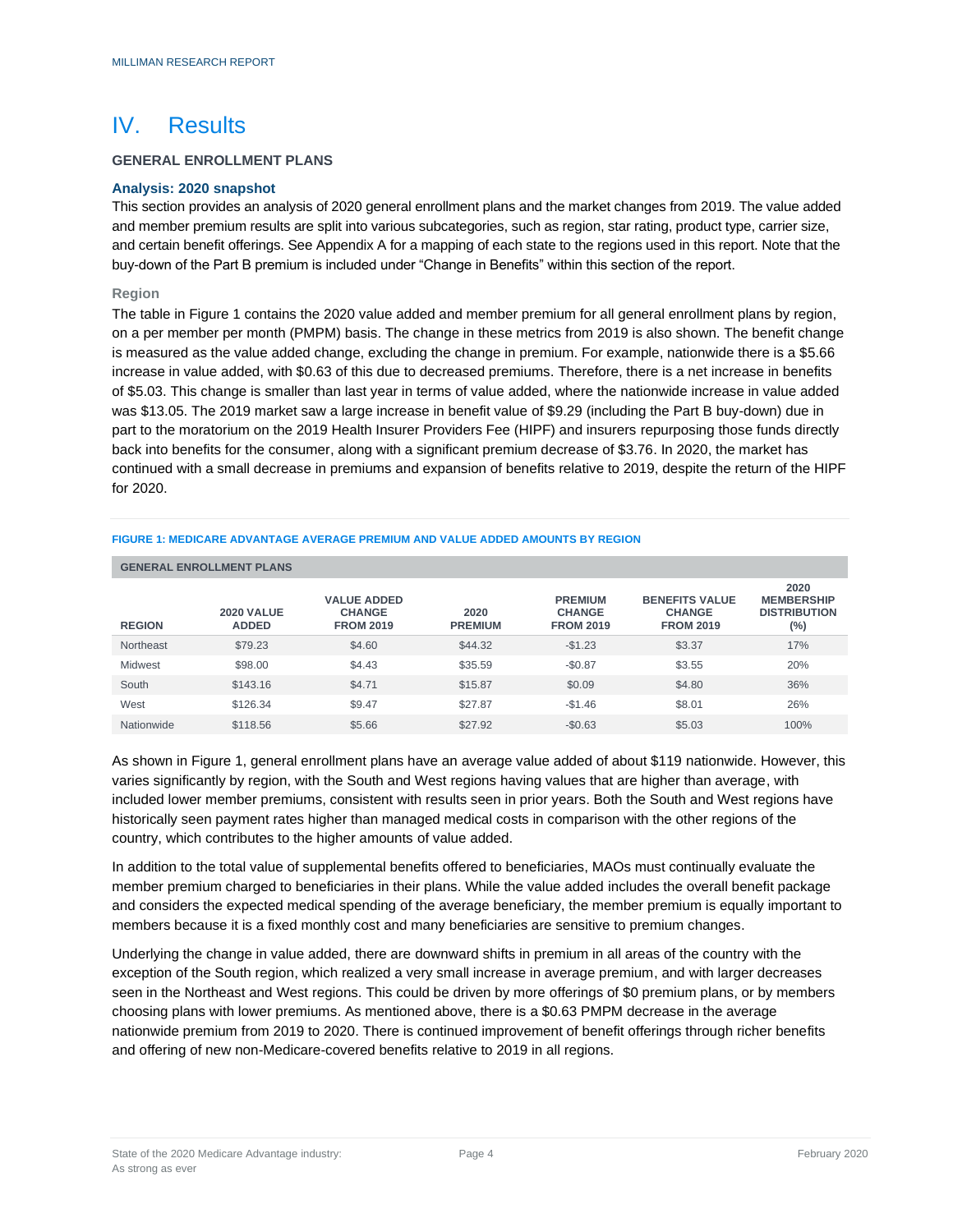### <span id="page-5-0"></span>IV. Results

### **GENERAL ENROLLMENT PLANS**

#### **Analysis: 2020 snapshot**

This section provides an analysis of 2020 general enrollment plans and the market changes from 2019. The value added and member premium results are split into various subcategories, such as region, star rating, product type, carrier size, and certain benefit offerings. See Appendix A for a mapping of each state to the regions used in this report. Note that the buy-down of the Part B premium is included under "Change in Benefits" within this section of the report.

#### **Region**

The table in Figure 1 contains the 2020 value added and member premium for all general enrollment plans by region, on a per member per month (PMPM) basis. The change in these metrics from 2019 is also shown. The benefit change is measured as the value added change, excluding the change in premium. For example, nationwide there is a \$5.66 increase in value added, with \$0.63 of this due to decreased premiums. Therefore, there is a net increase in benefits of \$5.03. This change is smaller than last year in terms of value added, where the nationwide increase in value added was \$13.05. The 2019 market saw a large increase in benefit value of \$9.29 (including the Part B buy-down) due in part to the moratorium on the 2019 Health Insurer Providers Fee (HIPF) and insurers repurposing those funds directly back into benefits for the consumer, along with a significant premium decrease of \$3.76. In 2020, the market has continued with a small decrease in premiums and expansion of benefits relative to 2019, despite the return of the HIPF for 2020.

|               | <b>GENERAL ENROLLMENT PLANS</b>   |                                                         |                        |                                                     |                                                            |                                                         |  |  |  |  |  |  |
|---------------|-----------------------------------|---------------------------------------------------------|------------------------|-----------------------------------------------------|------------------------------------------------------------|---------------------------------------------------------|--|--|--|--|--|--|
| <b>REGION</b> | <b>2020 VALUE</b><br><b>ADDED</b> | <b>VALUE ADDED</b><br><b>CHANGE</b><br><b>FROM 2019</b> | 2020<br><b>PREMIUM</b> | <b>PREMIUM</b><br><b>CHANGE</b><br><b>FROM 2019</b> | <b>BENEFITS VALUE</b><br><b>CHANGE</b><br><b>FROM 2019</b> | 2020<br><b>MEMBERSHIP</b><br><b>DISTRIBUTION</b><br>(%) |  |  |  |  |  |  |
| Northeast     | \$79.23                           | \$4.60                                                  | \$44.32                | $-$1.23$                                            | \$3.37                                                     | 17%                                                     |  |  |  |  |  |  |
| Midwest       | \$98.00                           | \$4.43                                                  | \$35.59                | $-$0.87$                                            | \$3.55                                                     | 20%                                                     |  |  |  |  |  |  |
| South         | \$143.16                          | \$4.71                                                  | \$15.87                | \$0.09                                              | \$4.80                                                     | 36%                                                     |  |  |  |  |  |  |
| West          | \$126.34                          | \$9.47                                                  | \$27.87                | $-$1.46$                                            | \$8.01                                                     | 26%                                                     |  |  |  |  |  |  |
| Nationwide    | \$118.56                          | \$5.66                                                  | \$27.92                | $-$0.63$                                            | \$5.03                                                     | 100%                                                    |  |  |  |  |  |  |

#### **FIGURE 1: MEDICARE ADVANTAGE AVERAGE PREMIUM AND VALUE ADDED AMOUNTS BY REGION**

As shown in Figure 1, general enrollment plans have an average value added of about \$119 nationwide. However, this varies significantly by region, with the South and West regions having values that are higher than average, with included lower member premiums, consistent with results seen in prior years. Both the South and West regions have historically seen payment rates higher than managed medical costs in comparison with the other regions of the country, which contributes to the higher amounts of value added.

In addition to the total value of supplemental benefits offered to beneficiaries, MAOs must continually evaluate the member premium charged to beneficiaries in their plans. While the value added includes the overall benefit package and considers the expected medical spending of the average beneficiary, the member premium is equally important to members because it is a fixed monthly cost and many beneficiaries are sensitive to premium changes.

Underlying the change in value added, there are downward shifts in premium in all areas of the country with the exception of the South region, which realized a very small increase in average premium, and with larger decreases seen in the Northeast and West regions. This could be driven by more offerings of \$0 premium plans, or by members choosing plans with lower premiums. As mentioned above, there is a \$0.63 PMPM decrease in the average nationwide premium from 2019 to 2020. There is continued improvement of benefit offerings through richer benefits and offering of new non-Medicare-covered benefits relative to 2019 in all regions.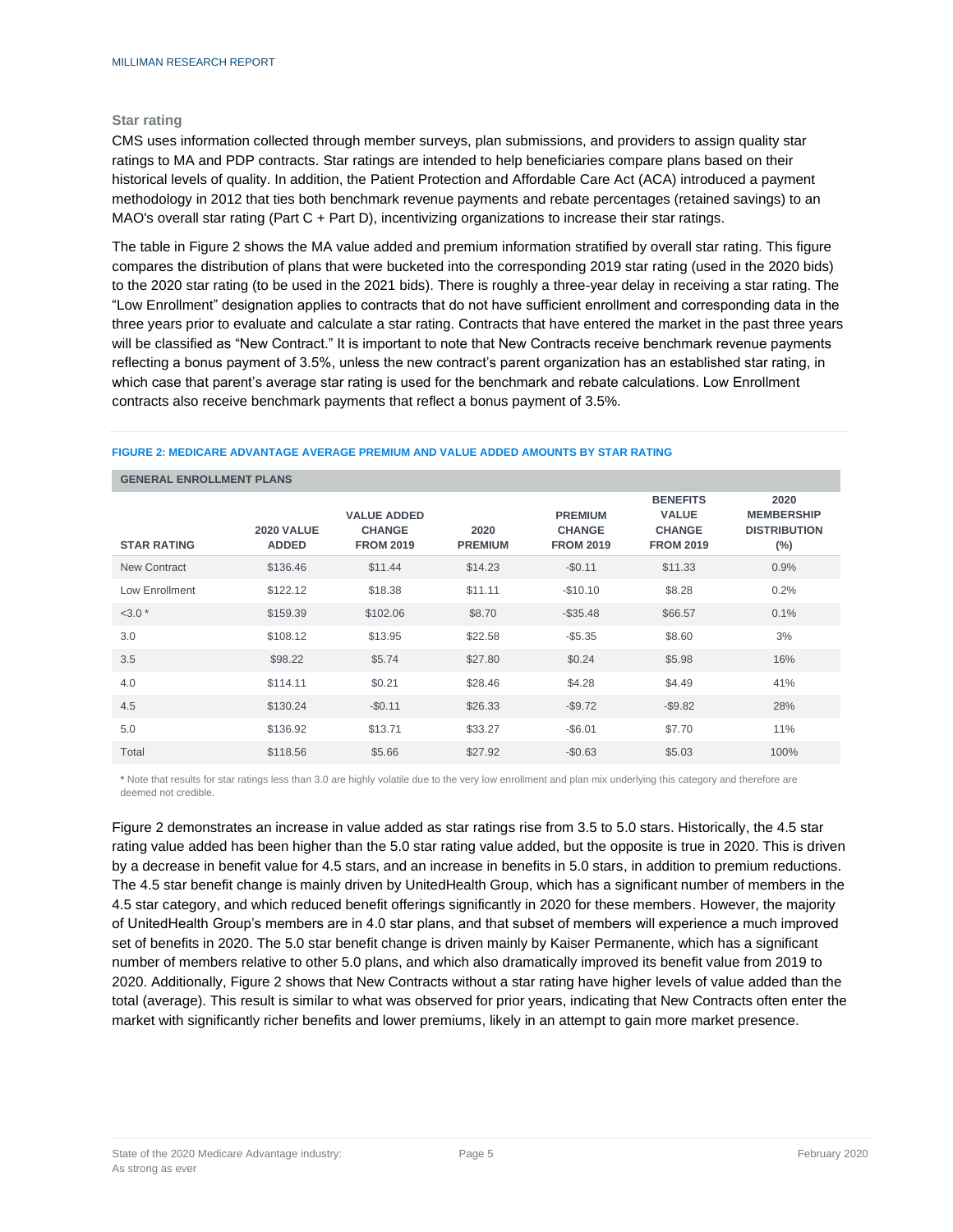#### **Star rating**

CMS uses information collected through member surveys, plan submissions, and providers to assign quality star ratings to MA and PDP contracts. Star ratings are intended to help beneficiaries compare plans based on their historical levels of quality. In addition, the Patient Protection and Affordable Care Act (ACA) introduced a payment methodology in 2012 that ties both benchmark revenue payments and rebate percentages (retained savings) to an MAO's overall star rating (Part C + Part D), incentivizing organizations to increase their star ratings.

The table in Figure 2 shows the MA value added and premium information stratified by overall star rating. This figure compares the distribution of plans that were bucketed into the corresponding 2019 star rating (used in the 2020 bids) to the 2020 star rating (to be used in the 2021 bids). There is roughly a three-year delay in receiving a star rating. The "Low Enrollment" designation applies to contracts that do not have sufficient enrollment and corresponding data in the three years prior to evaluate and calculate a star rating. Contracts that have entered the market in the past three years will be classified as "New Contract." It is important to note that New Contracts receive benchmark revenue payments reflecting a bonus payment of 3.5%, unless the new contract's parent organization has an established star rating, in which case that parent's average star rating is used for the benchmark and rebate calculations. Low Enrollment contracts also receive benchmark payments that reflect a bonus payment of 3.5%.

#### **FIGURE 2: MEDICARE ADVANTAGE AVERAGE PREMIUM AND VALUE ADDED AMOUNTS BY STAR RATING**

|                     | <b>GENERAL ENROLLMENT PLANS</b>   |                                                         |                        |                                                     |                                                                      |                                                            |  |  |  |  |  |  |
|---------------------|-----------------------------------|---------------------------------------------------------|------------------------|-----------------------------------------------------|----------------------------------------------------------------------|------------------------------------------------------------|--|--|--|--|--|--|
| <b>STAR RATING</b>  | <b>2020 VALUE</b><br><b>ADDED</b> | <b>VALUE ADDED</b><br><b>CHANGE</b><br><b>FROM 2019</b> | 2020<br><b>PREMIUM</b> | <b>PREMIUM</b><br><b>CHANGE</b><br><b>FROM 2019</b> | <b>BENEFITS</b><br><b>VALUE</b><br><b>CHANGE</b><br><b>FROM 2019</b> | 2020<br><b>MEMBERSHIP</b><br><b>DISTRIBUTION</b><br>$(\%)$ |  |  |  |  |  |  |
| <b>New Contract</b> | \$136.46                          | \$11.44                                                 | \$14.23                | $-$0.11$                                            | \$11.33                                                              | 0.9%                                                       |  |  |  |  |  |  |
| Low Enrollment      | \$122.12                          | \$18.38                                                 | \$11.11                | $-$10.10$                                           | \$8.28                                                               | 0.2%                                                       |  |  |  |  |  |  |
| $<3.0*$             | \$159.39                          | \$102.06                                                | \$8.70                 | $-$ \$35.48                                         | \$66.57                                                              | 0.1%                                                       |  |  |  |  |  |  |
| 3.0                 | \$108.12                          | \$13.95                                                 | \$22.58                | $-$5.35$                                            | \$8.60                                                               | 3%                                                         |  |  |  |  |  |  |
| 3.5                 | \$98.22                           | \$5.74                                                  | \$27.80                | \$0.24                                              | \$5.98                                                               | 16%                                                        |  |  |  |  |  |  |
| 4.0                 | \$114.11                          | \$0.21                                                  | \$28.46                | \$4.28                                              | \$4.49                                                               | 41%                                                        |  |  |  |  |  |  |
| 4.5                 | \$130.24                          | $-$0.11$                                                | \$26.33                | $-$9.72$                                            | $-$9.82$                                                             | 28%                                                        |  |  |  |  |  |  |
| 5.0                 | \$136.92                          | \$13.71                                                 | \$33.27                | $-$6.01$                                            | \$7.70                                                               | 11%                                                        |  |  |  |  |  |  |
| Total               | \$118.56                          | \$5.66                                                  | \$27.92                | $-$0.63$                                            | \$5.03                                                               | 100%                                                       |  |  |  |  |  |  |

**\*** Note that results for star ratings less than 3.0 are highly volatile due to the very low enrollment and plan mix underlying this category and therefore are deemed not credible.

Figure 2 demonstrates an increase in value added as star ratings rise from 3.5 to 5.0 stars. Historically, the 4.5 star rating value added has been higher than the 5.0 star rating value added, but the opposite is true in 2020. This is driven by a decrease in benefit value for 4.5 stars, and an increase in benefits in 5.0 stars, in addition to premium reductions. The 4.5 star benefit change is mainly driven by UnitedHealth Group, which has a significant number of members in the 4.5 star category, and which reduced benefit offerings significantly in 2020 for these members. However, the majority of UnitedHealth Group's members are in 4.0 star plans, and that subset of members will experience a much improved set of benefits in 2020. The 5.0 star benefit change is driven mainly by Kaiser Permanente, which has a significant number of members relative to other 5.0 plans, and which also dramatically improved its benefit value from 2019 to 2020. Additionally, Figure 2 shows that New Contracts without a star rating have higher levels of value added than the total (average). This result is similar to what was observed for prior years, indicating that New Contracts often enter the market with significantly richer benefits and lower premiums, likely in an attempt to gain more market presence.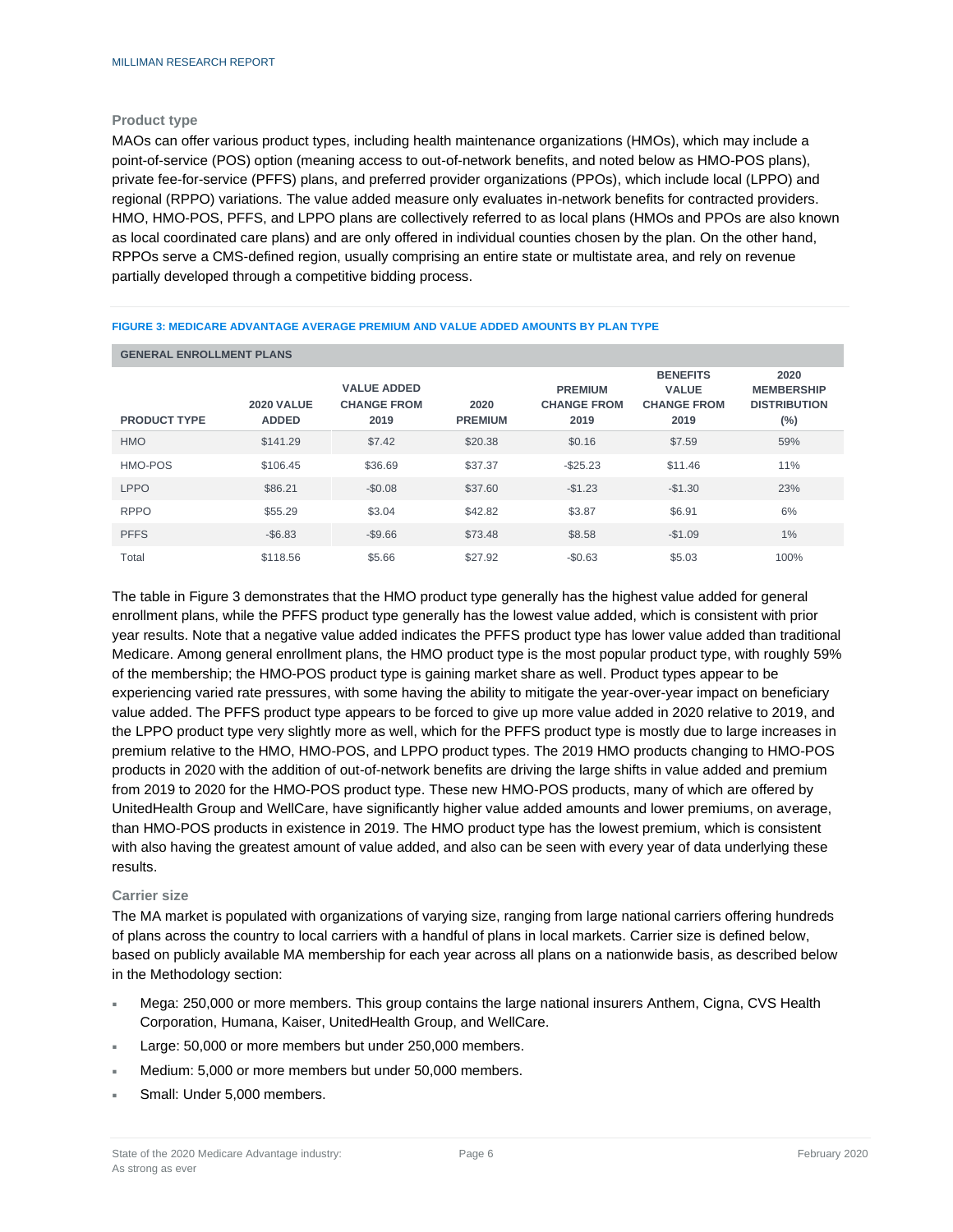#### **Product type**

MAOs can offer various product types, including health maintenance organizations (HMOs), which may include a point-of-service (POS) option (meaning access to out-of-network benefits, and noted below as HMO-POS plans), private fee-for-service (PFFS) plans, and preferred provider organizations (PPOs), which include local (LPPO) and regional (RPPO) variations. The value added measure only evaluates in-network benefits for contracted providers. HMO, HMO-POS, PFFS, and LPPO plans are collectively referred to as local plans (HMOs and PPOs are also known as local coordinated care plans) and are only offered in individual counties chosen by the plan. On the other hand, RPPOs serve a CMS-defined region, usually comprising an entire state or multistate area, and rely on revenue partially developed through a competitive bidding process.

| <b>GENERAL ENROLLMENT PLANS</b> |                                   |                                                  |                        |                                              |                                                               |                                                            |  |  |  |  |  |
|---------------------------------|-----------------------------------|--------------------------------------------------|------------------------|----------------------------------------------|---------------------------------------------------------------|------------------------------------------------------------|--|--|--|--|--|
| <b>PRODUCT TYPE</b>             | <b>2020 VALUE</b><br><b>ADDED</b> | <b>VALUE ADDED</b><br><b>CHANGE FROM</b><br>2019 | 2020<br><b>PREMIUM</b> | <b>PREMIUM</b><br><b>CHANGE FROM</b><br>2019 | <b>BENEFITS</b><br><b>VALUE</b><br><b>CHANGE FROM</b><br>2019 | 2020<br><b>MEMBERSHIP</b><br><b>DISTRIBUTION</b><br>$(\%)$ |  |  |  |  |  |
| <b>HMO</b>                      | \$141.29                          | \$7.42                                           | \$20.38                | \$0.16                                       | \$7.59                                                        | 59%                                                        |  |  |  |  |  |
| HMO-POS                         | \$106.45                          | \$36.69                                          | \$37.37                | $-$ \$25.23                                  | \$11.46                                                       | 11%                                                        |  |  |  |  |  |
| <b>LPPO</b>                     | \$86.21                           | $-$0.08$                                         | \$37.60                | $-$1.23$                                     | $-$1.30$                                                      | 23%                                                        |  |  |  |  |  |
| <b>RPPO</b>                     | \$55.29                           | \$3.04                                           | \$42.82                | \$3.87                                       | \$6.91                                                        | 6%                                                         |  |  |  |  |  |
| <b>PFFS</b>                     | $-$ \$6.83                        | $-$9.66$                                         | \$73.48                | \$8.58                                       | $-$1.09$                                                      | $1\%$                                                      |  |  |  |  |  |
| Total                           | \$118.56                          | \$5.66                                           | \$27.92                | $-$0.63$                                     | \$5.03                                                        | 100%                                                       |  |  |  |  |  |

#### **FIGURE 3: MEDICARE ADVANTAGE AVERAGE PREMIUM AND VALUE ADDED AMOUNTS BY PLAN TYPE**

The table in Figure 3 demonstrates that the HMO product type generally has the highest value added for general enrollment plans, while the PFFS product type generally has the lowest value added, which is consistent with prior year results. Note that a negative value added indicates the PFFS product type has lower value added than traditional Medicare. Among general enrollment plans, the HMO product type is the most popular product type, with roughly 59% of the membership; the HMO-POS product type is gaining market share as well. Product types appear to be experiencing varied rate pressures, with some having the ability to mitigate the year-over-year impact on beneficiary value added. The PFFS product type appears to be forced to give up more value added in 2020 relative to 2019, and the LPPO product type very slightly more as well, which for the PFFS product type is mostly due to large increases in premium relative to the HMO, HMO-POS, and LPPO product types. The 2019 HMO products changing to HMO-POS products in 2020 with the addition of out-of-network benefits are driving the large shifts in value added and premium from 2019 to 2020 for the HMO-POS product type. These new HMO-POS products, many of which are offered by UnitedHealth Group and WellCare, have significantly higher value added amounts and lower premiums, on average, than HMO-POS products in existence in 2019. The HMO product type has the lowest premium, which is consistent with also having the greatest amount of value added, and also can be seen with every year of data underlying these results.

#### **Carrier size**

The MA market is populated with organizations of varying size, ranging from large national carriers offering hundreds of plans across the country to local carriers with a handful of plans in local markets. Carrier size is defined below, based on publicly available MA membership for each year across all plans on a nationwide basis, as described below in the Methodology section:

- Mega: 250,000 or more members. This group contains the large national insurers Anthem, Cigna, CVS Health Corporation, Humana, Kaiser, UnitedHealth Group, and WellCare.
- Large: 50,000 or more members but under 250,000 members.
- Medium: 5,000 or more members but under 50,000 members.
- Small: Under 5,000 members.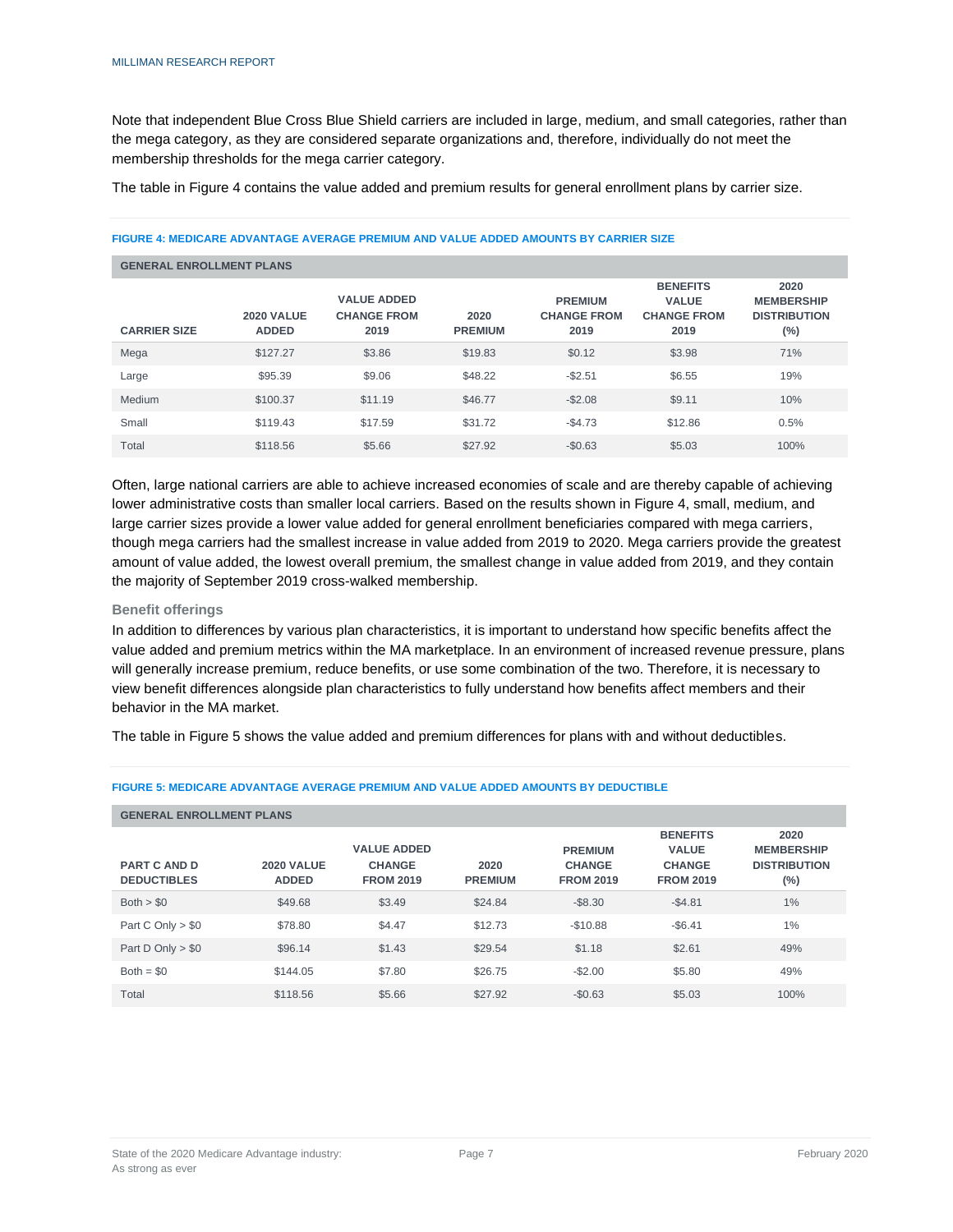Note that independent Blue Cross Blue Shield carriers are included in large, medium, and small categories, rather than the mega category, as they are considered separate organizations and, therefore, individually do not meet the membership thresholds for the mega carrier category.

The table in Figure 4 contains the value added and premium results for general enrollment plans by carrier size.

|                     | <b>GENERAL ENROLLMENT PLANS</b>   |                                                  |                        |                                              |                                                               |                                                            |  |  |  |  |  |  |
|---------------------|-----------------------------------|--------------------------------------------------|------------------------|----------------------------------------------|---------------------------------------------------------------|------------------------------------------------------------|--|--|--|--|--|--|
| <b>CARRIER SIZE</b> | <b>2020 VALUE</b><br><b>ADDED</b> | <b>VALUE ADDED</b><br><b>CHANGE FROM</b><br>2019 | 2020<br><b>PREMIUM</b> | <b>PREMIUM</b><br><b>CHANGE FROM</b><br>2019 | <b>BENEFITS</b><br><b>VALUE</b><br><b>CHANGE FROM</b><br>2019 | 2020<br><b>MEMBERSHIP</b><br><b>DISTRIBUTION</b><br>$(\%)$ |  |  |  |  |  |  |
| Mega                | \$127.27                          | \$3.86                                           | \$19.83                | \$0.12                                       | \$3.98                                                        | 71%                                                        |  |  |  |  |  |  |
| Large               | \$95.39                           | \$9.06                                           | \$48.22                | $-$2.51$                                     | \$6.55                                                        | 19%                                                        |  |  |  |  |  |  |
| Medium              | \$100.37                          | \$11.19                                          | \$46.77                | $-$2.08$                                     | \$9.11                                                        | 10%                                                        |  |  |  |  |  |  |
| Small               | \$119.43                          | \$17.59                                          | \$31.72                | $-$4.73$                                     | \$12.86                                                       | 0.5%                                                       |  |  |  |  |  |  |
| Total               | \$118.56                          | \$5.66                                           | \$27.92                | $-$0.63$                                     | \$5.03                                                        | 100%                                                       |  |  |  |  |  |  |

#### **FIGURE 4: MEDICARE ADVANTAGE AVERAGE PREMIUM AND VALUE ADDED AMOUNTS BY CARRIER SIZE**

Often, large national carriers are able to achieve increased economies of scale and are thereby capable of achieving lower administrative costs than smaller local carriers. Based on the results shown in Figure 4, small, medium, and large carrier sizes provide a lower value added for general enrollment beneficiaries compared with mega carriers, though mega carriers had the smallest increase in value added from 2019 to 2020. Mega carriers provide the greatest amount of value added, the lowest overall premium, the smallest change in value added from 2019, and they contain the majority of September 2019 cross-walked membership.

#### **Benefit offerings**

In addition to differences by various plan characteristics, it is important to understand how specific benefits affect the value added and premium metrics within the MA marketplace. In an environment of increased revenue pressure, plans will generally increase premium, reduce benefits, or use some combination of the two. Therefore, it is necessary to view benefit differences alongside plan characteristics to fully understand how benefits affect members and their behavior in the MA market.

The table in Figure 5 shows the value added and premium differences for plans with and without deductibles.

#### **GENERAL ENROLLMENT PLANS PART C AND D DEDUCTIBLES 2020 VALUE ADDED VALUE ADDED CHANGE FROM 2019 2020 PREMIUM PREMIUM CHANGE FROM 2019 BENEFITS VALUE CHANGE FROM 2019 2020 MEMBERSHIP DISTRIBUTION (%)** Both > \$0 \$49.68 \$49.68 \$3.49 \$24.84 -\$8.30 -\$4.81 526.81 \$24.84 \$24.84 524.84 \$1% Part C Only > \$0 \$78.80 \$74.47 \$12.73 -\$10.88 -\$6.41 1% Part D Only > \$0 \$96.14 \$1.43 \$29.54 \$1.18 \$2.61 \$2.61 \$9% Both = \$0 \$144.05 \$7.80 \$26.75 -\$2.00 \$5.80 49% Total \$118.56 \$5.66 \$27.92 -\$0.63 \$5.03 100%

#### **FIGURE 5: MEDICARE ADVANTAGE AVERAGE PREMIUM AND VALUE ADDED AMOUNTS BY DEDUCTIBLE**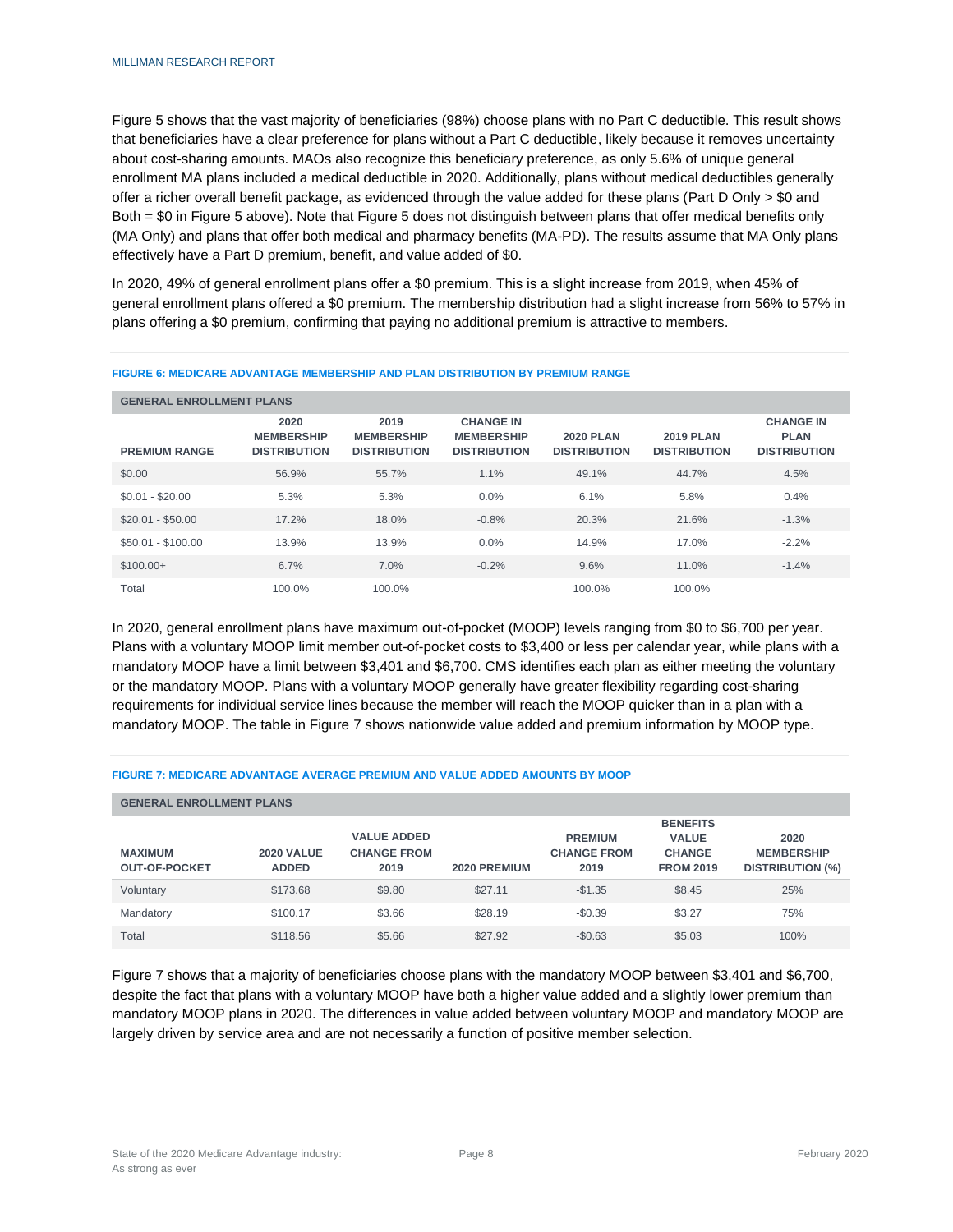Figure 5 shows that the vast majority of beneficiaries (98%) choose plans with no Part C deductible. This result shows that beneficiaries have a clear preference for plans without a Part C deductible, likely because it removes uncertainty about cost-sharing amounts. MAOs also recognize this beneficiary preference, as only 5.6% of unique general enrollment MA plans included a medical deductible in 2020. Additionally, plans without medical deductibles generally offer a richer overall benefit package, as evidenced through the value added for these plans (Part D Only > \$0 and Both = \$0 in Figure 5 above). Note that Figure 5 does not distinguish between plans that offer medical benefits only (MA Only) and plans that offer both medical and pharmacy benefits (MA-PD). The results assume that MA Only plans effectively have a Part D premium, benefit, and value added of \$0.

In 2020, 49% of general enrollment plans offer a \$0 premium. This is a slight increase from 2019, when 45% of general enrollment plans offered a \$0 premium. The membership distribution had a slight increase from 56% to 57% in plans offering a \$0 premium, confirming that paying no additional premium is attractive to members.

| <b>GENERAL ENROLLMENT PLANS</b> |                                                  |                                                  |                                                              |                                         |                                         |                                                        |  |  |  |  |  |
|---------------------------------|--------------------------------------------------|--------------------------------------------------|--------------------------------------------------------------|-----------------------------------------|-----------------------------------------|--------------------------------------------------------|--|--|--|--|--|
| <b>PREMIUM RANGE</b>            | 2020<br><b>MEMBERSHIP</b><br><b>DISTRIBUTION</b> | 2019<br><b>MEMBERSHIP</b><br><b>DISTRIBUTION</b> | <b>CHANGE IN</b><br><b>MEMBERSHIP</b><br><b>DISTRIBUTION</b> | <b>2020 PLAN</b><br><b>DISTRIBUTION</b> | <b>2019 PLAN</b><br><b>DISTRIBUTION</b> | <b>CHANGE IN</b><br><b>PLAN</b><br><b>DISTRIBUTION</b> |  |  |  |  |  |
| \$0.00                          | 56.9%                                            | 55.7%                                            | 1.1%                                                         | 49.1%                                   | 44.7%                                   | 4.5%                                                   |  |  |  |  |  |
| $$0.01 - $20.00$                | 5.3%                                             | 5.3%                                             | 0.0%                                                         | 6.1%                                    | 5.8%                                    | 0.4%                                                   |  |  |  |  |  |
| $$20.01 - $50.00$               | 17.2%                                            | 18.0%                                            | $-0.8%$                                                      | 20.3%                                   | 21.6%                                   | $-1.3%$                                                |  |  |  |  |  |
| $$50.01 - $100.00$              | 13.9%                                            | 13.9%                                            | $0.0\%$                                                      | 14.9%                                   | 17.0%                                   | $-2.2%$                                                |  |  |  |  |  |
| $$100.00+$                      | 6.7%                                             | 7.0%                                             | $-0.2%$                                                      | 9.6%                                    | 11.0%                                   | $-1.4%$                                                |  |  |  |  |  |
| Total                           | 100.0%                                           | 100.0%                                           |                                                              | 100.0%                                  | 100.0%                                  |                                                        |  |  |  |  |  |

#### **FIGURE 6: MEDICARE ADVANTAGE MEMBERSHIP AND PLAN DISTRIBUTION BY PREMIUM RANGE**

In 2020, general enrollment plans have maximum out-of-pocket (MOOP) levels ranging from \$0 to \$6,700 per year. Plans with a voluntary MOOP limit member out-of-pocket costs to \$3,400 or less per calendar year, while plans with a mandatory MOOP have a limit between \$3,401 and \$6,700. CMS identifies each plan as either meeting the voluntary or the mandatory MOOP. Plans with a voluntary MOOP generally have greater flexibility regarding cost-sharing requirements for individual service lines because the member will reach the MOOP quicker than in a plan with a mandatory MOOP. The table in Figure 7 shows nationwide value added and premium information by MOOP type.

#### **FIGURE 7: MEDICARE ADVANTAGE AVERAGE PREMIUM AND VALUE ADDED AMOUNTS BY MOOP**

| <b>GENERAL ENROLLMENT PLANS</b>                                             |          |                                                  |              |          |                                                                      |                                                      |  |  |  |  |  |
|-----------------------------------------------------------------------------|----------|--------------------------------------------------|--------------|----------|----------------------------------------------------------------------|------------------------------------------------------|--|--|--|--|--|
| <b>MAXIMUM</b><br><b>2020 VALUE</b><br><b>OUT-OF-POCKET</b><br><b>ADDED</b> |          | <b>VALUE ADDED</b><br><b>CHANGE FROM</b><br>2019 | 2020 PREMIUM |          | <b>BENEFITS</b><br><b>VALUE</b><br><b>CHANGE</b><br><b>FROM 2019</b> | 2020<br><b>MEMBERSHIP</b><br><b>DISTRIBUTION (%)</b> |  |  |  |  |  |
| Voluntary                                                                   | \$173.68 | \$9.80                                           | \$27.11      | $-$1.35$ | \$8.45                                                               | 25%                                                  |  |  |  |  |  |
| Mandatory                                                                   | \$100.17 | \$3.66                                           | \$28.19      | $-$0.39$ | \$3.27                                                               | 75%                                                  |  |  |  |  |  |
| Total                                                                       | \$118.56 | \$5.66                                           | \$27.92      | $-$0.63$ | \$5.03                                                               | 100%                                                 |  |  |  |  |  |

Figure 7 shows that a majority of beneficiaries choose plans with the mandatory MOOP between \$3,401 and \$6,700, despite the fact that plans with a voluntary MOOP have both a higher value added and a slightly lower premium than mandatory MOOP plans in 2020. The differences in value added between voluntary MOOP and mandatory MOOP are largely driven by service area and are not necessarily a function of positive member selection.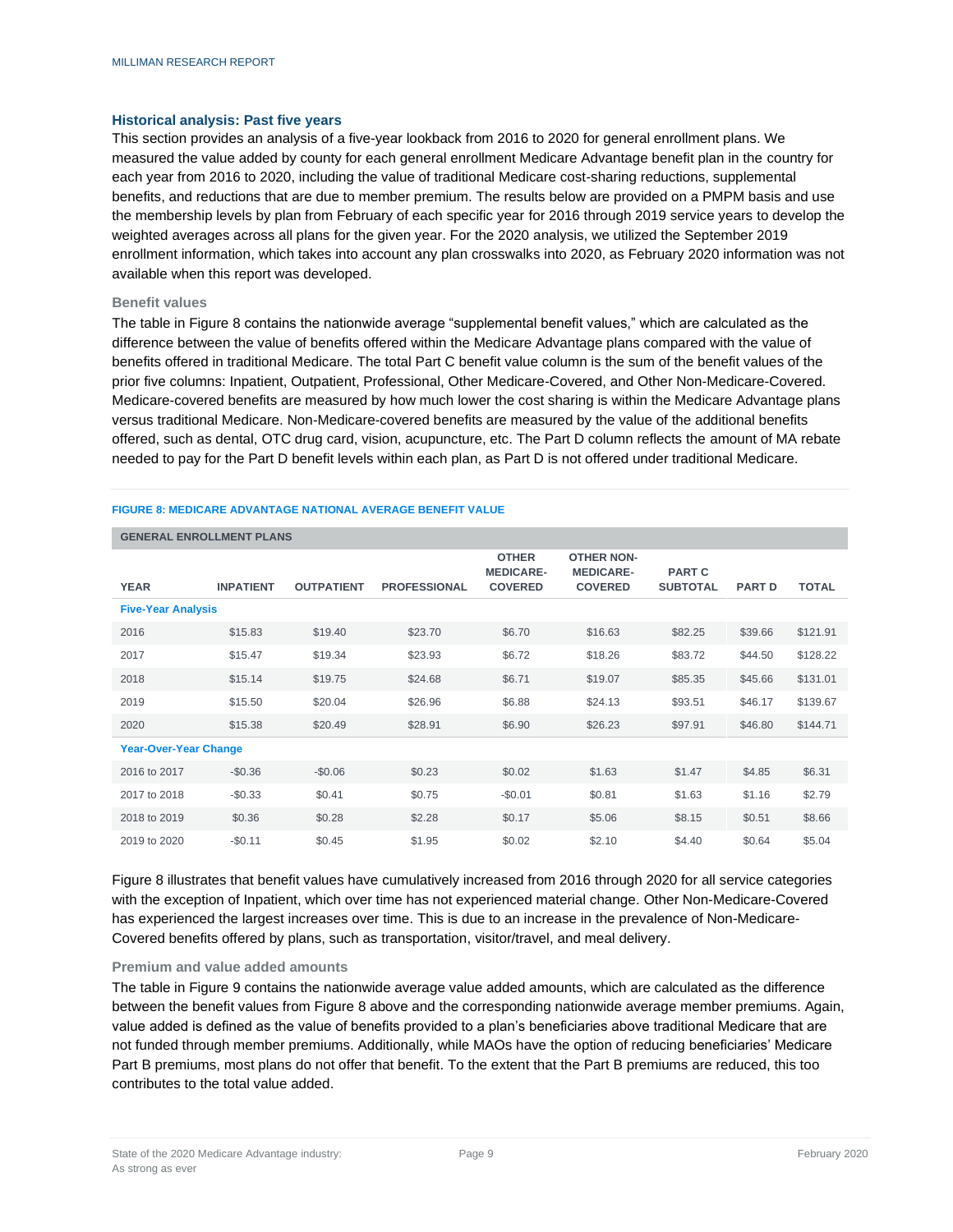#### **Historical analysis: Past five years**

This section provides an analysis of a five-year lookback from 2016 to 2020 for general enrollment plans. We measured the value added by county for each general enrollment Medicare Advantage benefit plan in the country for each year from 2016 to 2020, including the value of traditional Medicare cost-sharing reductions, supplemental benefits, and reductions that are due to member premium. The results below are provided on a PMPM basis and use the membership levels by plan from February of each specific year for 2016 through 2019 service years to develop the weighted averages across all plans for the given year. For the 2020 analysis, we utilized the September 2019 enrollment information, which takes into account any plan crosswalks into 2020, as February 2020 information was not available when this report was developed.

#### **Benefit values**

The table in Figure 8 contains the nationwide average "supplemental benefit values," which are calculated as the difference between the value of benefits offered within the Medicare Advantage plans compared with the value of benefits offered in traditional Medicare. The total Part C benefit value column is the sum of the benefit values of the prior five columns: Inpatient, Outpatient, Professional, Other Medicare-Covered, and Other Non-Medicare-Covered. Medicare-covered benefits are measured by how much lower the cost sharing is within the Medicare Advantage plans versus traditional Medicare. Non-Medicare-covered benefits are measured by the value of the additional benefits offered, such as dental, OTC drug card, vision, acupuncture, etc. The Part D column reflects the amount of MA rebate needed to pay for the Part D benefit levels within each plan, as Part D is not offered under traditional Medicare.

#### **FIGURE 8: MEDICARE ADVANTAGE NATIONAL AVERAGE BENEFIT VALUE**

|                              | <b>GENERAL ENROLLMENT PLANS</b> |                   |                     |                                  |                                       |                 |               |              |  |  |  |  |
|------------------------------|---------------------------------|-------------------|---------------------|----------------------------------|---------------------------------------|-----------------|---------------|--------------|--|--|--|--|
|                              |                                 |                   |                     | <b>OTHER</b><br><b>MEDICARE-</b> | <b>OTHER NON-</b><br><b>MEDICARE-</b> | <b>PART C</b>   |               |              |  |  |  |  |
| <b>YEAR</b>                  | <b>INPATIENT</b>                | <b>OUTPATIENT</b> | <b>PROFESSIONAL</b> | <b>COVERED</b>                   | <b>COVERED</b>                        | <b>SUBTOTAL</b> | <b>PART D</b> | <b>TOTAL</b> |  |  |  |  |
| <b>Five-Year Analysis</b>    |                                 |                   |                     |                                  |                                       |                 |               |              |  |  |  |  |
| 2016                         | \$15.83                         | \$19.40           | \$23.70             | \$6.70                           | \$16.63                               | \$82.25         | \$39.66       | \$121.91     |  |  |  |  |
| 2017                         | \$15.47                         | \$19.34           | \$23.93             | \$6.72                           | \$18.26                               | \$83.72         | \$44.50       | \$128.22     |  |  |  |  |
| 2018                         | \$15.14                         | \$19.75           | \$24.68             | \$6.71                           | \$19.07                               | \$85.35         | \$45.66       | \$131.01     |  |  |  |  |
| 2019                         | \$15.50                         | \$20.04           | \$26.96             | \$6.88                           | \$24.13                               | \$93.51         | \$46.17       | \$139.67     |  |  |  |  |
| 2020                         | \$15.38                         | \$20.49           | \$28.91             | \$6.90                           | \$26.23                               | \$97.91         | \$46.80       | \$144.71     |  |  |  |  |
| <b>Year-Over-Year Change</b> |                                 |                   |                     |                                  |                                       |                 |               |              |  |  |  |  |
| 2016 to 2017                 | $-$0.36$                        | $-$0.06$          | \$0.23              | \$0.02                           | \$1.63                                | \$1.47          | \$4.85        | \$6.31       |  |  |  |  |
| 2017 to 2018                 | $-$0.33$                        | \$0.41            | \$0.75              | $-$0.01$                         | \$0.81                                | \$1.63          | \$1.16        | \$2.79       |  |  |  |  |
| 2018 to 2019                 | \$0.36                          | \$0.28            | \$2.28              | \$0.17                           | \$5.06                                | \$8.15          | \$0.51        | \$8.66       |  |  |  |  |
| 2019 to 2020                 | $-$0.11$                        | \$0.45            | \$1.95              | \$0.02                           | \$2.10                                | \$4.40          | \$0.64        | \$5.04       |  |  |  |  |

Figure 8 illustrates that benefit values have cumulatively increased from 2016 through 2020 for all service categories with the exception of Inpatient, which over time has not experienced material change. Other Non-Medicare-Covered has experienced the largest increases over time. This is due to an increase in the prevalence of Non-Medicare-Covered benefits offered by plans, such as transportation, visitor/travel, and meal delivery.

#### **Premium and value added amounts**

The table in Figure 9 contains the nationwide average value added amounts, which are calculated as the difference between the benefit values from Figure 8 above and the corresponding nationwide average member premiums. Again, value added is defined as the value of benefits provided to a plan's beneficiaries above traditional Medicare that are not funded through member premiums. Additionally, while MAOs have the option of reducing beneficiaries' Medicare Part B premiums, most plans do not offer that benefit. To the extent that the Part B premiums are reduced, this too contributes to the total value added.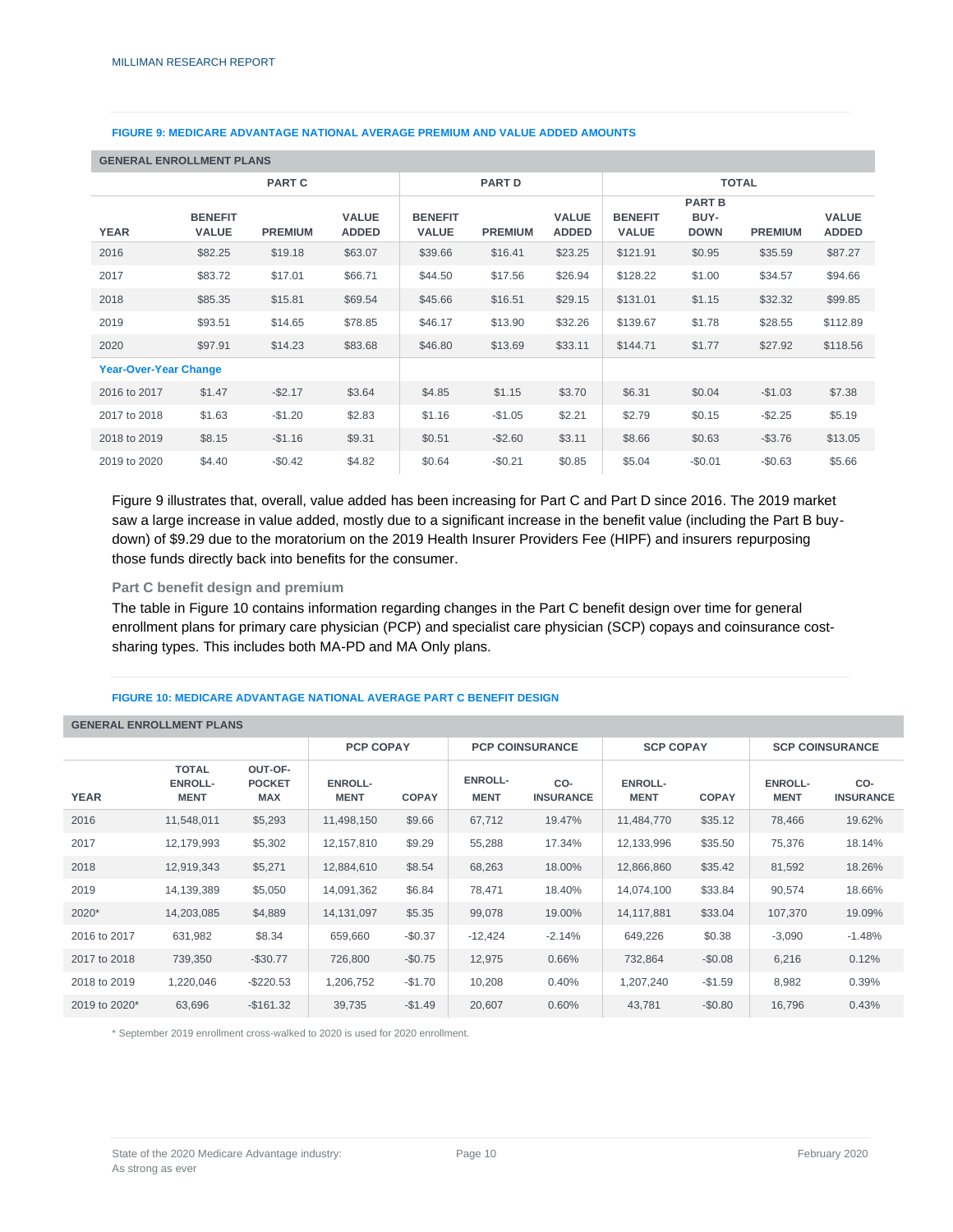#### **FIGURE 9: MEDICARE ADVANTAGE NATIONAL AVERAGE PREMIUM AND VALUE ADDED AMOUNTS**

|                              | <b>GENERAL ENROLLMENT PLANS</b> |                |                              |                                |                |                              |                                |                                      |                |                              |  |  |  |
|------------------------------|---------------------------------|----------------|------------------------------|--------------------------------|----------------|------------------------------|--------------------------------|--------------------------------------|----------------|------------------------------|--|--|--|
|                              |                                 | <b>PART C</b>  |                              | <b>PART D</b>                  |                |                              | <b>TOTAL</b>                   |                                      |                |                              |  |  |  |
| <b>YEAR</b>                  | <b>BENEFIT</b><br><b>VALUE</b>  | <b>PREMIUM</b> | <b>VALUE</b><br><b>ADDED</b> | <b>BENEFIT</b><br><b>VALUE</b> | <b>PREMIUM</b> | <b>VALUE</b><br><b>ADDED</b> | <b>BENEFIT</b><br><b>VALUE</b> | <b>PART B</b><br>BUY-<br><b>DOWN</b> | <b>PREMIUM</b> | <b>VALUE</b><br><b>ADDED</b> |  |  |  |
| 2016                         | \$82.25                         | \$19.18        | \$63.07                      | \$39.66                        | \$16.41        | \$23.25                      | \$121.91                       | \$0.95                               | \$35.59        | \$87.27                      |  |  |  |
| 2017                         | \$83.72                         | \$17.01        | \$66.71                      | \$44.50                        | \$17.56        | \$26.94                      | \$128.22                       | \$1.00                               | \$34.57        | \$94.66                      |  |  |  |
| 2018                         | \$85.35                         | \$15.81        | \$69.54                      | \$45.66                        | \$16.51        | \$29.15                      | \$131.01                       | \$1.15                               | \$32.32        | \$99.85                      |  |  |  |
| 2019                         | \$93.51                         | \$14.65        | \$78.85                      | \$46.17                        | \$13.90        | \$32.26                      | \$139.67                       | \$1.78                               | \$28.55        | \$112.89                     |  |  |  |
| 2020                         | \$97.91                         | \$14.23        | \$83.68                      | \$46.80                        | \$13.69        | \$33.11                      | \$144.71                       | \$1.77                               | \$27.92        | \$118.56                     |  |  |  |
| <b>Year-Over-Year Change</b> |                                 |                |                              |                                |                |                              |                                |                                      |                |                              |  |  |  |
| 2016 to 2017                 | \$1.47                          | $-$ \$2.17     | \$3.64                       | \$4.85                         | \$1.15         | \$3.70                       | \$6.31                         | \$0.04                               | $-$1.03$       | \$7.38                       |  |  |  |
| 2017 to 2018                 | \$1.63                          | $-$1.20$       | \$2.83                       | \$1.16                         | $-$1.05$       | \$2.21                       | \$2.79                         | \$0.15                               | $-$ \$2.25     | \$5.19                       |  |  |  |
| 2018 to 2019                 | \$8.15                          | $-$1.16$       | \$9.31                       | \$0.51                         | $-$ \$2.60     | \$3.11                       | \$8.66                         | \$0.63                               | $-$ \$3.76     | \$13.05                      |  |  |  |
| 2019 to 2020                 | \$4.40                          | $-$0.42$       | \$4.82                       | \$0.64                         | $-$0.21$       | \$0.85                       | \$5.04                         | $-$0.01$                             | $-$0.63$       | \$5.66                       |  |  |  |

Figure 9 illustrates that, overall, value added has been increasing for Part C and Part D since 2016. The 2019 market saw a large increase in value added, mostly due to a significant increase in the benefit value (including the Part B buydown) of \$9.29 due to the moratorium on the 2019 Health Insurer Providers Fee (HIPF) and insurers repurposing those funds directly back into benefits for the consumer.

#### **Part C benefit design and premium**

The table in Figure 10 contains information regarding changes in the Part C benefit design over time for general enrollment plans for primary care physician (PCP) and specialist care physician (SCP) copays and coinsurance costsharing types. This includes both MA-PD and MA Only plans.

#### **FIGURE 10: MEDICARE ADVANTAGE NATIONAL AVERAGE PART C BENEFIT DESIGN**

#### **GENERAL ENROLLMENT PLANS PCP COPAY PCP COINSURANCE SCP COPAY SCP COINSURANCE YEAR TOTAL ENROLL-MENT OUT-OF-POCKET MAX ENROLL-MENT COPAY ENROLL-MENT CO-INSURANCE ENROLL-MENT COPAY ENROLL-MENT CO-INSURANCE** 2016 11,548,011 \$5,293 11,498,150 \$9.66 67,712 19.47% 11,484,770 \$35.12 78,466 19.62% 2017 12,179,993 \$5,302 12,157,810 \$9.29 55,288 17.34% 12,133,996 \$35.50 75,376 18.14% 2018 12,919,343 \$5,271 12,884,610 \$8.54 68,263 18.00% 12,866,860 \$35.42 81,592 18.26% 2019 14,139,389 \$5,050 14,091,362 \$6.84 78,471 18.40% 14,074,100 \$33.84 90,574 18.66% 2020\* 14,203,085 \$4,889 14,131,097 \$5.35 99,078 19.00% 14,117,881 \$33.04 107,370 19.09% 2016 to 2017 631,982 \$8.34 | 659,660 -\$0.37 | -12,424 -2.14% | 649,226 \$0.38 | -3,090 -1.48% 2017 to 2018 739,350 -\$30.77 726,800 -\$0.75 12,975 0.66% 732,864 -\$0.08 6,216 0.12% 2018 to 2019 1,220,046 -\$220.53 1,206,752 -\$1.70 10,208 0.40% 1,207,240 -\$1.59 8,982 0.39% 2019 to 2020\* 63,696 -\$161.32 39,735 -\$1.49 20,607 0.60% 43,781 -\$0.80 16,796 0.43%

\* September 2019 enrollment cross-walked to 2020 is used for 2020 enrollment.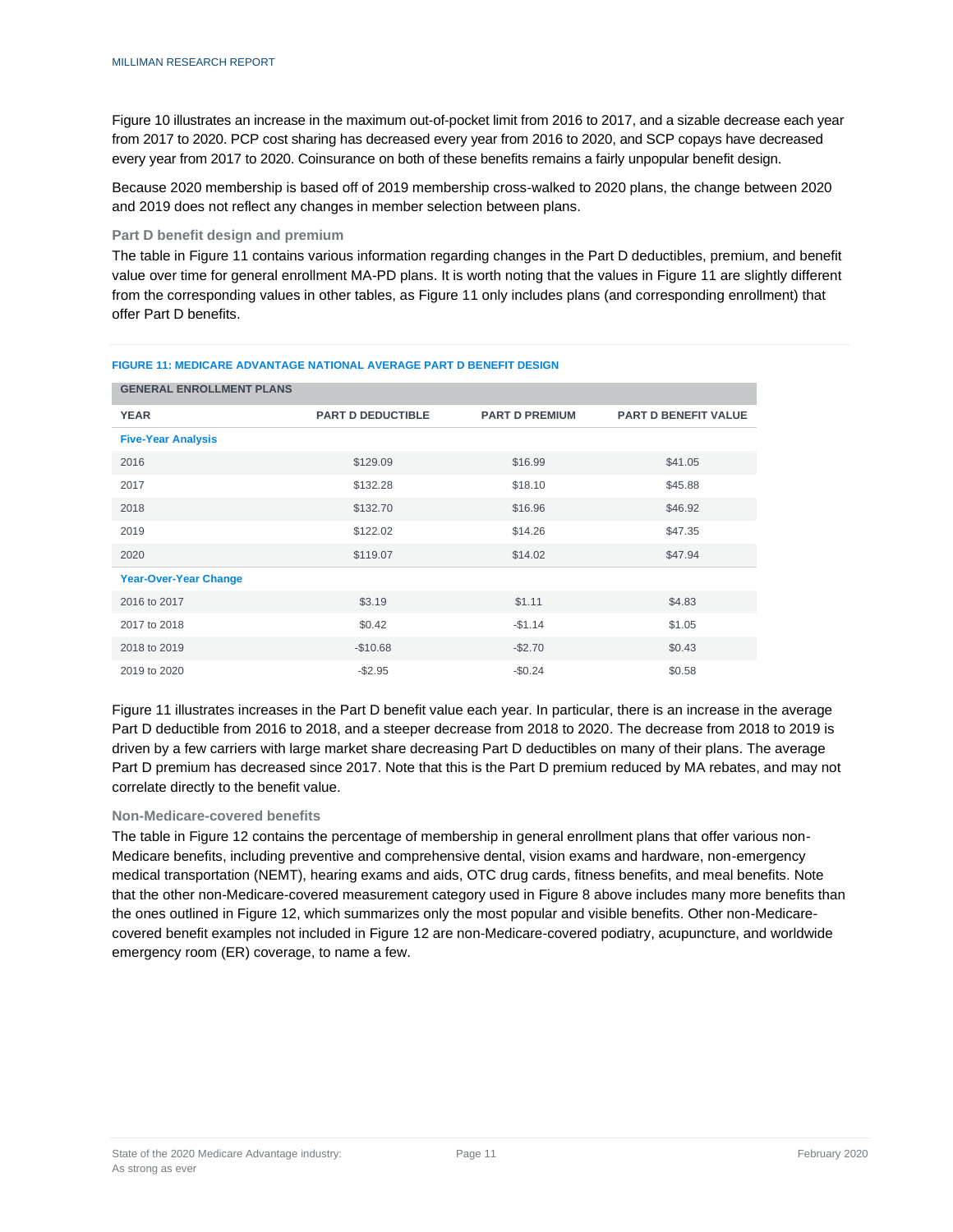Figure 10 illustrates an increase in the maximum out-of-pocket limit from 2016 to 2017, and a sizable decrease each year from 2017 to 2020. PCP cost sharing has decreased every year from 2016 to 2020, and SCP copays have decreased every year from 2017 to 2020. Coinsurance on both of these benefits remains a fairly unpopular benefit design.

Because 2020 membership is based off of 2019 membership cross-walked to 2020 plans, the change between 2020 and 2019 does not reflect any changes in member selection between plans.

#### **Part D benefit design and premium**

The table in Figure 11 contains various information regarding changes in the Part D deductibles, premium, and benefit value over time for general enrollment MA-PD plans. It is worth noting that the values in Figure 11 are slightly different from the corresponding values in other tables, as Figure 11 only includes plans (and corresponding enrollment) that offer Part D benefits.

| <b>GENERAL ENROLLMENT PLANS</b> |                          |                       |                             |  |  |  |  |  |  |  |
|---------------------------------|--------------------------|-----------------------|-----------------------------|--|--|--|--|--|--|--|
| <b>YEAR</b>                     | <b>PART D DEDUCTIBLE</b> | <b>PART D PREMIUM</b> | <b>PART D BENEFIT VALUE</b> |  |  |  |  |  |  |  |
| <b>Five-Year Analysis</b>       |                          |                       |                             |  |  |  |  |  |  |  |
| 2016                            | \$129.09                 | \$16.99               | \$41.05                     |  |  |  |  |  |  |  |
| 2017                            | \$132.28                 | \$18.10               | \$45.88                     |  |  |  |  |  |  |  |
| 2018                            | \$132.70                 | \$16.96               | \$46.92                     |  |  |  |  |  |  |  |
| 2019                            | \$122.02                 | \$14.26               | \$47.35                     |  |  |  |  |  |  |  |
| 2020                            | \$119.07                 | \$14.02               | \$47.94                     |  |  |  |  |  |  |  |
| <b>Year-Over-Year Change</b>    |                          |                       |                             |  |  |  |  |  |  |  |
| 2016 to 2017                    | \$3.19                   | \$1.11                | \$4.83                      |  |  |  |  |  |  |  |
| 2017 to 2018                    | \$0.42                   | $-$1.14$              | \$1.05                      |  |  |  |  |  |  |  |
| 2018 to 2019                    | $-$10.68$                | $-$2.70$              | \$0.43                      |  |  |  |  |  |  |  |
| 2019 to 2020                    | $-$2.95$                 | $-$0.24$              | \$0.58                      |  |  |  |  |  |  |  |

#### **FIGURE 11: MEDICARE ADVANTAGE NATIONAL AVERAGE PART D BENEFIT DESIGN**

Figure 11 illustrates increases in the Part D benefit value each year. In particular, there is an increase in the average Part D deductible from 2016 to 2018, and a steeper decrease from 2018 to 2020. The decrease from 2018 to 2019 is driven by a few carriers with large market share decreasing Part D deductibles on many of their plans. The average Part D premium has decreased since 2017. Note that this is the Part D premium reduced by MA rebates, and may not correlate directly to the benefit value.

#### **Non-Medicare-covered benefits**

The table in Figure 12 contains the percentage of membership in general enrollment plans that offer various non-Medicare benefits, including preventive and comprehensive dental, vision exams and hardware, non-emergency medical transportation (NEMT), hearing exams and aids, OTC drug cards, fitness benefits, and meal benefits. Note that the other non-Medicare-covered measurement category used in Figure 8 above includes many more benefits than the ones outlined in Figure 12, which summarizes only the most popular and visible benefits. Other non-Medicarecovered benefit examples not included in Figure 12 are non-Medicare-covered podiatry, acupuncture, and worldwide emergency room (ER) coverage, to name a few.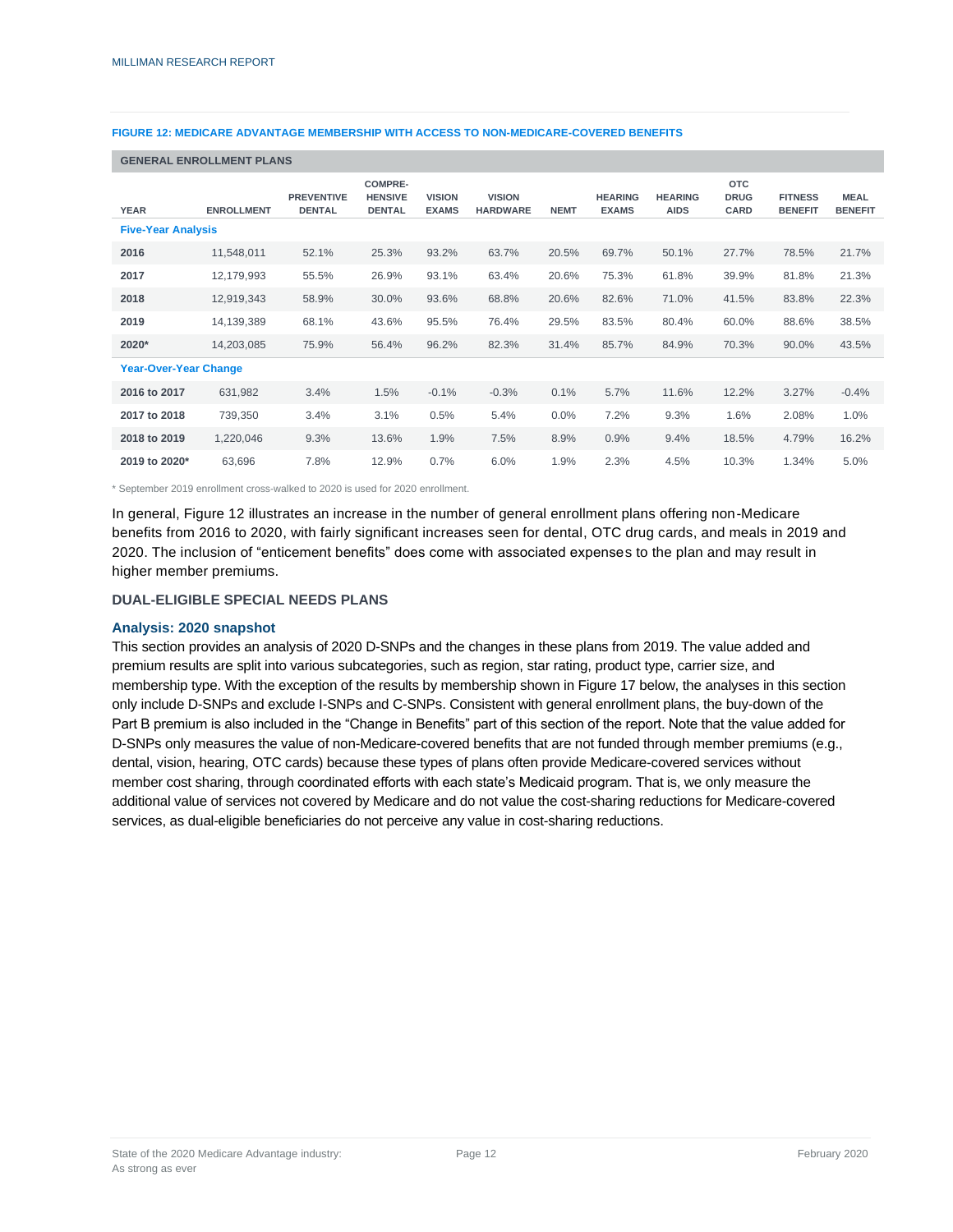#### **FIGURE 12: MEDICARE ADVANTAGE MEMBERSHIP WITH ACCESS TO NON-MEDICARE-COVERED BENEFITS**

#### **GENERAL ENROLLMENT PLANS**

| <b>YEAR</b>                  | <b>ENROLLMENT</b> | <b>PREVENTIVE</b><br><b>DENTAL</b> | <b>COMPRE-</b><br><b>HENSIVE</b><br><b>DENTAL</b> | <b>VISION</b><br><b>EXAMS</b> | <b>VISION</b><br><b>HARDWARE</b> | <b>NEMT</b> | <b>HEARING</b><br><b>EXAMS</b> | <b>HEARING</b><br><b>AIDS</b> | <b>OTC</b><br><b>DRUG</b><br>CARD | <b>FITNESS</b><br><b>BENEFIT</b> | <b>MEAL</b><br><b>BENEFIT</b> |
|------------------------------|-------------------|------------------------------------|---------------------------------------------------|-------------------------------|----------------------------------|-------------|--------------------------------|-------------------------------|-----------------------------------|----------------------------------|-------------------------------|
| <b>Five-Year Analysis</b>    |                   |                                    |                                                   |                               |                                  |             |                                |                               |                                   |                                  |                               |
| 2016                         | 11,548,011        | 52.1%                              | 25.3%                                             | 93.2%                         | 63.7%                            | 20.5%       | 69.7%                          | 50.1%                         | 27.7%                             | 78.5%                            | 21.7%                         |
| 2017                         | 12,179,993        | 55.5%                              | 26.9%                                             | 93.1%                         | 63.4%                            | 20.6%       | 75.3%                          | 61.8%                         | 39.9%                             | 81.8%                            | 21.3%                         |
| 2018                         | 12,919,343        | 58.9%                              | 30.0%                                             | 93.6%                         | 68.8%                            | 20.6%       | 82.6%                          | 71.0%                         | 41.5%                             | 83.8%                            | 22.3%                         |
| 2019                         | 14,139,389        | 68.1%                              | 43.6%                                             | 95.5%                         | 76.4%                            | 29.5%       | 83.5%                          | 80.4%                         | 60.0%                             | 88.6%                            | 38.5%                         |
| 2020*                        | 14,203,085        | 75.9%                              | 56.4%                                             | 96.2%                         | 82.3%                            | 31.4%       | 85.7%                          | 84.9%                         | 70.3%                             | 90.0%                            | 43.5%                         |
| <b>Year-Over-Year Change</b> |                   |                                    |                                                   |                               |                                  |             |                                |                               |                                   |                                  |                               |
| 2016 to 2017                 | 631,982           | 3.4%                               | 1.5%                                              | $-0.1%$                       | $-0.3%$                          | 0.1%        | 5.7%                           | 11.6%                         | 12.2%                             | 3.27%                            | $-0.4%$                       |
| 2017 to 2018                 | 739,350           | 3.4%                               | 3.1%                                              | 0.5%                          | 5.4%                             | $0.0\%$     | 7.2%                           | 9.3%                          | 1.6%                              | 2.08%                            | 1.0%                          |
| 2018 to 2019                 | 1,220,046         | 9.3%                               | 13.6%                                             | 1.9%                          | 7.5%                             | 8.9%        | 0.9%                           | 9.4%                          | 18.5%                             | 4.79%                            | 16.2%                         |
| 2019 to 2020*                | 63,696            | 7.8%                               | 12.9%                                             | 0.7%                          | 6.0%                             | 1.9%        | 2.3%                           | 4.5%                          | 10.3%                             | 1.34%                            | 5.0%                          |

\* September 2019 enrollment cross-walked to 2020 is used for 2020 enrollment.

In general, Figure 12 illustrates an increase in the number of general enrollment plans offering non-Medicare benefits from 2016 to 2020, with fairly significant increases seen for dental, OTC drug cards, and meals in 2019 and 2020. The inclusion of "enticement benefits" does come with associated expenses to the plan and may result in higher member premiums.

#### **DUAL-ELIGIBLE SPECIAL NEEDS PLANS**

#### **Analysis: 2020 snapshot**

This section provides an analysis of 2020 D-SNPs and the changes in these plans from 2019. The value added and premium results are split into various subcategories, such as region, star rating, product type, carrier size, and membership type. With the exception of the results by membership shown in Figure 17 below, the analyses in this section only include D-SNPs and exclude I-SNPs and C-SNPs. Consistent with general enrollment plans, the buy-down of the Part B premium is also included in the "Change in Benefits" part of this section of the report. Note that the value added for D-SNPs only measures the value of non-Medicare-covered benefits that are not funded through member premiums (e.g., dental, vision, hearing, OTC cards) because these types of plans often provide Medicare-covered services without member cost sharing, through coordinated efforts with each state's Medicaid program. That is, we only measure the additional value of services not covered by Medicare and do not value the cost-sharing reductions for Medicare-covered services, as dual-eligible beneficiaries do not perceive any value in cost-sharing reductions.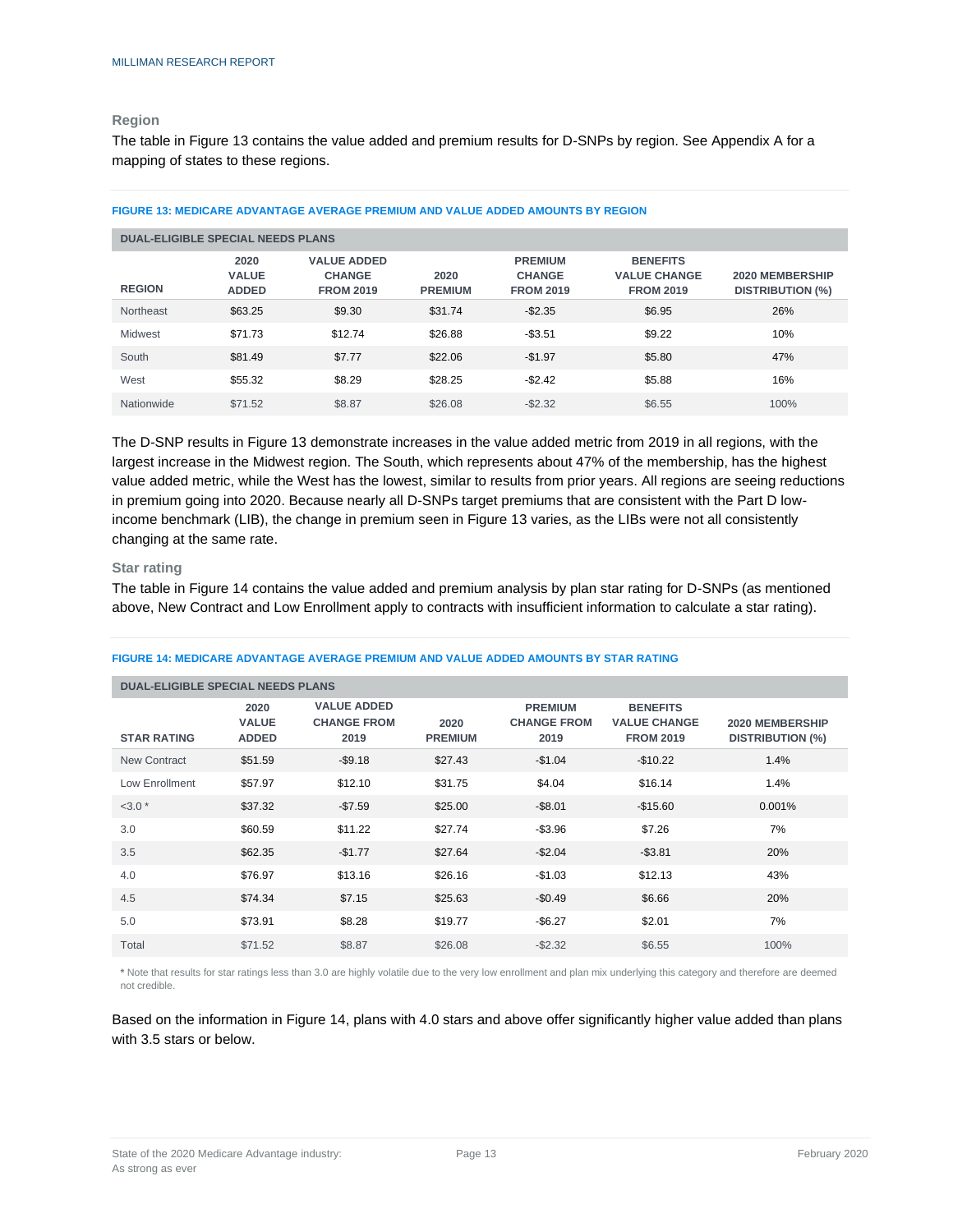### **Region**

The table in Figure 13 contains the value added and premium results for D-SNPs by region. See Appendix A for a mapping of states to these regions.

| <b>DUAL-ELIGIBLE SPECIAL NEEDS PLANS</b> |                                      |                                                         |                        |                                                     |                                                            |                                            |  |  |  |  |  |
|------------------------------------------|--------------------------------------|---------------------------------------------------------|------------------------|-----------------------------------------------------|------------------------------------------------------------|--------------------------------------------|--|--|--|--|--|
| <b>REGION</b>                            | 2020<br><b>VALUE</b><br><b>ADDED</b> | <b>VALUE ADDED</b><br><b>CHANGE</b><br><b>FROM 2019</b> | 2020<br><b>PREMIUM</b> | <b>PREMIUM</b><br><b>CHANGE</b><br><b>FROM 2019</b> | <b>BENEFITS</b><br><b>VALUE CHANGE</b><br><b>FROM 2019</b> | 2020 MEMBERSHIP<br><b>DISTRIBUTION (%)</b> |  |  |  |  |  |
| Northeast                                | \$63.25                              | \$9.30                                                  | \$31.74                | $-$2.35$                                            | \$6.95                                                     | 26%                                        |  |  |  |  |  |
| Midwest                                  | \$71.73                              | \$12.74                                                 | \$26.88                | $-$3.51$                                            | \$9.22                                                     | 10%                                        |  |  |  |  |  |
| South                                    | \$81.49                              | \$7.77                                                  | \$22.06                | $-$1.97$                                            | \$5.80                                                     | 47%                                        |  |  |  |  |  |
| West                                     | \$55.32                              | \$8.29                                                  | \$28.25                | $-$2.42$                                            | \$5.88                                                     | 16%                                        |  |  |  |  |  |
| Nationwide                               | \$71.52                              | \$8.87                                                  | \$26.08                | $-$2.32$                                            | \$6.55                                                     | 100%                                       |  |  |  |  |  |

#### **FIGURE 13: MEDICARE ADVANTAGE AVERAGE PREMIUM AND VALUE ADDED AMOUNTS BY REGION**

The D-SNP results in Figure 13 demonstrate increases in the value added metric from 2019 in all regions, with the largest increase in the Midwest region. The South, which represents about 47% of the membership, has the highest value added metric, while the West has the lowest, similar to results from prior years. All regions are seeing reductions in premium going into 2020. Because nearly all D-SNPs target premiums that are consistent with the Part D lowincome benchmark (LIB), the change in premium seen in Figure 13 varies, as the LIBs were not all consistently changing at the same rate.

#### **Star rating**

The table in Figure 14 contains the value added and premium analysis by plan star rating for D-SNPs (as mentioned above, New Contract and Low Enrollment apply to contracts with insufficient information to calculate a star rating).

| <b>DUAL-ELIGIBLE SPECIAL NEEDS PLANS</b> |                                      |                                                  |                        |                                              |                                                            |                                            |
|------------------------------------------|--------------------------------------|--------------------------------------------------|------------------------|----------------------------------------------|------------------------------------------------------------|--------------------------------------------|
| <b>STAR RATING</b>                       | 2020<br><b>VALUE</b><br><b>ADDED</b> | <b>VALUE ADDED</b><br><b>CHANGE FROM</b><br>2019 | 2020<br><b>PREMIUM</b> | <b>PREMIUM</b><br><b>CHANGE FROM</b><br>2019 | <b>BENEFITS</b><br><b>VALUE CHANGE</b><br><b>FROM 2019</b> | 2020 MEMBERSHIP<br><b>DISTRIBUTION (%)</b> |
| New Contract                             | \$51.59                              | $-$9.18$                                         | \$27.43                | $-$1.04$                                     | $-$10.22$                                                  | 1.4%                                       |
| Low Enrollment                           | \$57.97                              | \$12.10                                          | \$31.75                | \$4.04                                       | \$16.14                                                    | 1.4%                                       |
| $<3.0*$                                  | \$37.32                              | $-$7.59$                                         | \$25.00                | $-$8.01$                                     | $-$15.60$                                                  | 0.001%                                     |
| 3.0                                      | \$60.59                              | \$11.22                                          | \$27.74                | $-$ \$3.96                                   | \$7.26                                                     | 7%                                         |
| 3.5                                      | \$62.35                              | $-$1.77$                                         | \$27.64                | $-$2.04$                                     | $-$ \$3.81                                                 | 20%                                        |
| 4.0                                      | \$76.97                              | \$13.16                                          | \$26.16                | $-$1.03$                                     | \$12.13                                                    | 43%                                        |
| 4.5                                      | \$74.34                              | \$7.15                                           | \$25.63                | $-$0.49$                                     | \$6.66                                                     | 20%                                        |
| 5.0                                      | \$73.91                              | \$8.28                                           | \$19.77                | $-$6.27$                                     | \$2.01                                                     | 7%                                         |
| Total                                    | \$71.52                              | \$8.87                                           | \$26.08                | $-$2.32$                                     | \$6.55                                                     | 100%                                       |

#### **FIGURE 14: MEDICARE ADVANTAGE AVERAGE PREMIUM AND VALUE ADDED AMOUNTS BY STAR RATING**

**\*** Note that results for star ratings less than 3.0 are highly volatile due to the very low enrollment and plan mix underlying this category and therefore are deemed not credible.

Based on the information in Figure 14, plans with 4.0 stars and above offer significantly higher value added than plans with 3.5 stars or below.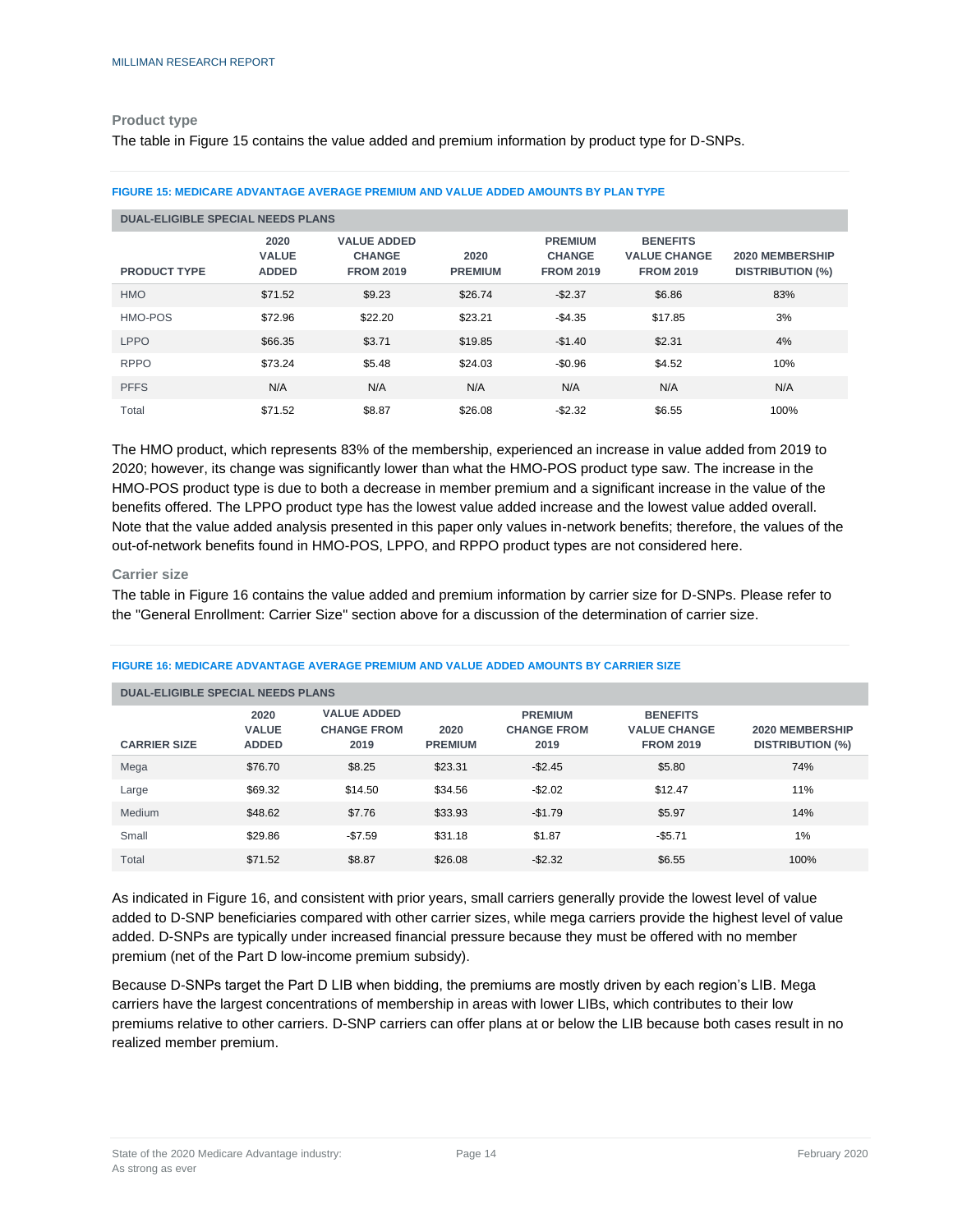#### **Product type**

The table in Figure 15 contains the value added and premium information by product type for D-SNPs.

| <b>DUAL-ELIGIBLE SPECIAL NEEDS PLANS</b> |                                      |                                                         |                        |                                                     |                                                            |                                            |
|------------------------------------------|--------------------------------------|---------------------------------------------------------|------------------------|-----------------------------------------------------|------------------------------------------------------------|--------------------------------------------|
| <b>PRODUCT TYPE</b>                      | 2020<br><b>VALUE</b><br><b>ADDED</b> | <b>VALUE ADDED</b><br><b>CHANGE</b><br><b>FROM 2019</b> | 2020<br><b>PREMIUM</b> | <b>PREMIUM</b><br><b>CHANGE</b><br><b>FROM 2019</b> | <b>BENEFITS</b><br><b>VALUE CHANGE</b><br><b>FROM 2019</b> | 2020 MEMBERSHIP<br><b>DISTRIBUTION (%)</b> |
| <b>HMO</b>                               | \$71.52                              | \$9.23                                                  | \$26.74                | $-$2.37$                                            | \$6.86                                                     | 83%                                        |
| HMO-POS                                  | \$72.96                              | \$22.20                                                 | \$23.21                | $-$4.35$                                            | \$17.85                                                    | 3%                                         |
| <b>LPPO</b>                              | \$66.35                              | \$3.71                                                  | \$19.85                | $-$1.40$                                            | \$2.31                                                     | 4%                                         |
| <b>RPPO</b>                              | \$73.24                              | \$5.48                                                  | \$24.03                | $-$0.96$                                            | \$4.52                                                     | 10%                                        |
| <b>PFFS</b>                              | N/A                                  | N/A                                                     | N/A                    | N/A                                                 | N/A                                                        | N/A                                        |
| Total                                    | \$71.52                              | \$8.87                                                  | \$26.08                | $-$2.32$                                            | \$6.55                                                     | 100%                                       |

**FIGURE 15: MEDICARE ADVANTAGE AVERAGE PREMIUM AND VALUE ADDED AMOUNTS BY PLAN TYPE**

The HMO product, which represents 83% of the membership, experienced an increase in value added from 2019 to 2020; however, its change was significantly lower than what the HMO-POS product type saw. The increase in the HMO-POS product type is due to both a decrease in member premium and a significant increase in the value of the benefits offered. The LPPO product type has the lowest value added increase and the lowest value added overall. Note that the value added analysis presented in this paper only values in-network benefits; therefore, the values of the out-of-network benefits found in HMO-POS, LPPO, and RPPO product types are not considered here.

#### **Carrier size**

The table in Figure 16 contains the value added and premium information by carrier size for D-SNPs. Please refer to the "General Enrollment: Carrier Size" section above for a discussion of the determination of carrier size.

| <b>DUAL-ELIGIBLE SPECIAL NEEDS PLANS</b> |                                      |                                                  |                        |                                              |                                                            |                                            |
|------------------------------------------|--------------------------------------|--------------------------------------------------|------------------------|----------------------------------------------|------------------------------------------------------------|--------------------------------------------|
| <b>CARRIER SIZE</b>                      | 2020<br><b>VALUE</b><br><b>ADDED</b> | <b>VALUE ADDED</b><br><b>CHANGE FROM</b><br>2019 | 2020<br><b>PREMIUM</b> | <b>PREMIUM</b><br><b>CHANGE FROM</b><br>2019 | <b>BENEFITS</b><br><b>VALUE CHANGE</b><br><b>FROM 2019</b> | 2020 MEMBERSHIP<br><b>DISTRIBUTION (%)</b> |
| Mega                                     | \$76.70                              | \$8.25                                           | \$23.31                | $-$ \$2.45                                   | \$5.80                                                     | 74%                                        |
| Large                                    | \$69.32                              | \$14.50                                          | \$34.56                | $-$2.02$                                     | \$12.47                                                    | 11%                                        |
| Medium                                   | \$48.62                              | \$7.76                                           | \$33.93                | $-$1.79$                                     | \$5.97                                                     | 14%                                        |
| Small                                    | \$29.86                              | $-$7.59$                                         | \$31.18                | \$1.87                                       | $-$5.71$                                                   | 1%                                         |
| Total                                    | \$71.52                              | \$8.87                                           | \$26.08                | $-$ \$2.32                                   | \$6.55                                                     | 100%                                       |

#### **FIGURE 16: MEDICARE ADVANTAGE AVERAGE PREMIUM AND VALUE ADDED AMOUNTS BY CARRIER SIZE**

As indicated in Figure 16, and consistent with prior years, small carriers generally provide the lowest level of value added to D-SNP beneficiaries compared with other carrier sizes, while mega carriers provide the highest level of value added. D-SNPs are typically under increased financial pressure because they must be offered with no member premium (net of the Part D low-income premium subsidy).

Because D-SNPs target the Part D LIB when bidding, the premiums are mostly driven by each region's LIB. Mega carriers have the largest concentrations of membership in areas with lower LIBs, which contributes to their low premiums relative to other carriers. D-SNP carriers can offer plans at or below the LIB because both cases result in no realized member premium.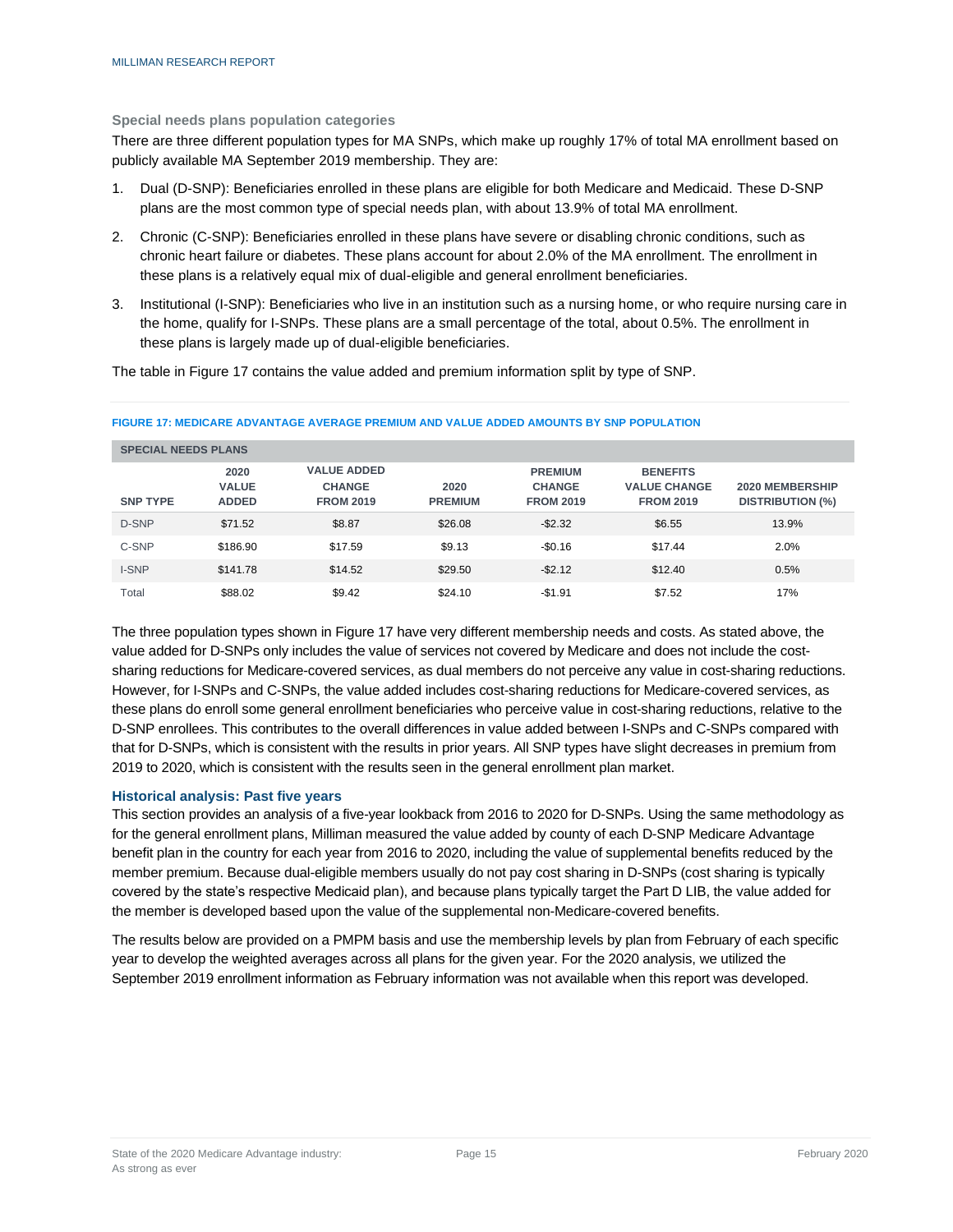#### **Special needs plans population categories**

There are three different population types for MA SNPs, which make up roughly 17% of total MA enrollment based on publicly available MA September 2019 membership. They are:

- 1. Dual (D-SNP): Beneficiaries enrolled in these plans are eligible for both Medicare and Medicaid. These D-SNP plans are the most common type of special needs plan, with about 13.9% of total MA enrollment.
- 2. Chronic (C-SNP): Beneficiaries enrolled in these plans have severe or disabling chronic conditions, such as chronic heart failure or diabetes. These plans account for about 2.0% of the MA enrollment. The enrollment in these plans is a relatively equal mix of dual-eligible and general enrollment beneficiaries.
- 3. Institutional (I-SNP): Beneficiaries who live in an institution such as a nursing home, or who require nursing care in the home, qualify for I-SNPs. These plans are a small percentage of the total, about 0.5%. The enrollment in these plans is largely made up of dual-eligible beneficiaries.

The table in Figure 17 contains the value added and premium information split by type of SNP.

| <b>SPECIAL NEEDS PLANS</b> |                                      |                                                         |                        |                                                     |                                                            |                                                   |
|----------------------------|--------------------------------------|---------------------------------------------------------|------------------------|-----------------------------------------------------|------------------------------------------------------------|---------------------------------------------------|
| <b>SNP TYPE</b>            | 2020<br><b>VALUE</b><br><b>ADDED</b> | <b>VALUE ADDED</b><br><b>CHANGE</b><br><b>FROM 2019</b> | 2020<br><b>PREMIUM</b> | <b>PREMIUM</b><br><b>CHANGE</b><br><b>FROM 2019</b> | <b>BENEFITS</b><br><b>VALUE CHANGE</b><br><b>FROM 2019</b> | <b>2020 MEMBERSHIP</b><br><b>DISTRIBUTION (%)</b> |
| D-SNP                      | \$71.52                              | \$8.87                                                  | \$26.08                | $-$2.32$                                            | \$6.55                                                     | 13.9%                                             |
| C-SNP                      | \$186.90                             | \$17.59                                                 | \$9.13                 | $-$0.16$                                            | \$17.44                                                    | 2.0%                                              |
| <b>I-SNP</b>               | \$141.78                             | \$14.52                                                 | \$29.50                | $-$2.12$                                            | \$12.40                                                    | 0.5%                                              |
| Total                      | \$88.02                              | \$9.42                                                  | \$24.10                | $-$1.91$                                            | \$7.52                                                     | 17%                                               |

#### **FIGURE 17: MEDICARE ADVANTAGE AVERAGE PREMIUM AND VALUE ADDED AMOUNTS BY SNP POPULATION**

The three population types shown in Figure 17 have very different membership needs and costs. As stated above, the value added for D-SNPs only includes the value of services not covered by Medicare and does not include the costsharing reductions for Medicare-covered services, as dual members do not perceive any value in cost-sharing reductions. However, for I-SNPs and C-SNPs, the value added includes cost-sharing reductions for Medicare-covered services, as these plans do enroll some general enrollment beneficiaries who perceive value in cost-sharing reductions, relative to the D-SNP enrollees. This contributes to the overall differences in value added between I-SNPs and C-SNPs compared with that for D-SNPs, which is consistent with the results in prior years. All SNP types have slight decreases in premium from 2019 to 2020, which is consistent with the results seen in the general enrollment plan market.

#### **Historical analysis: Past five years**

This section provides an analysis of a five-year lookback from 2016 to 2020 for D-SNPs. Using the same methodology as for the general enrollment plans, Milliman measured the value added by county of each D-SNP Medicare Advantage benefit plan in the country for each year from 2016 to 2020, including the value of supplemental benefits reduced by the member premium. Because dual-eligible members usually do not pay cost sharing in D-SNPs (cost sharing is typically covered by the state's respective Medicaid plan), and because plans typically target the Part D LIB, the value added for the member is developed based upon the value of the supplemental non-Medicare-covered benefits.

The results below are provided on a PMPM basis and use the membership levels by plan from February of each specific year to develop the weighted averages across all plans for the given year. For the 2020 analysis, we utilized the September 2019 enrollment information as February information was not available when this report was developed.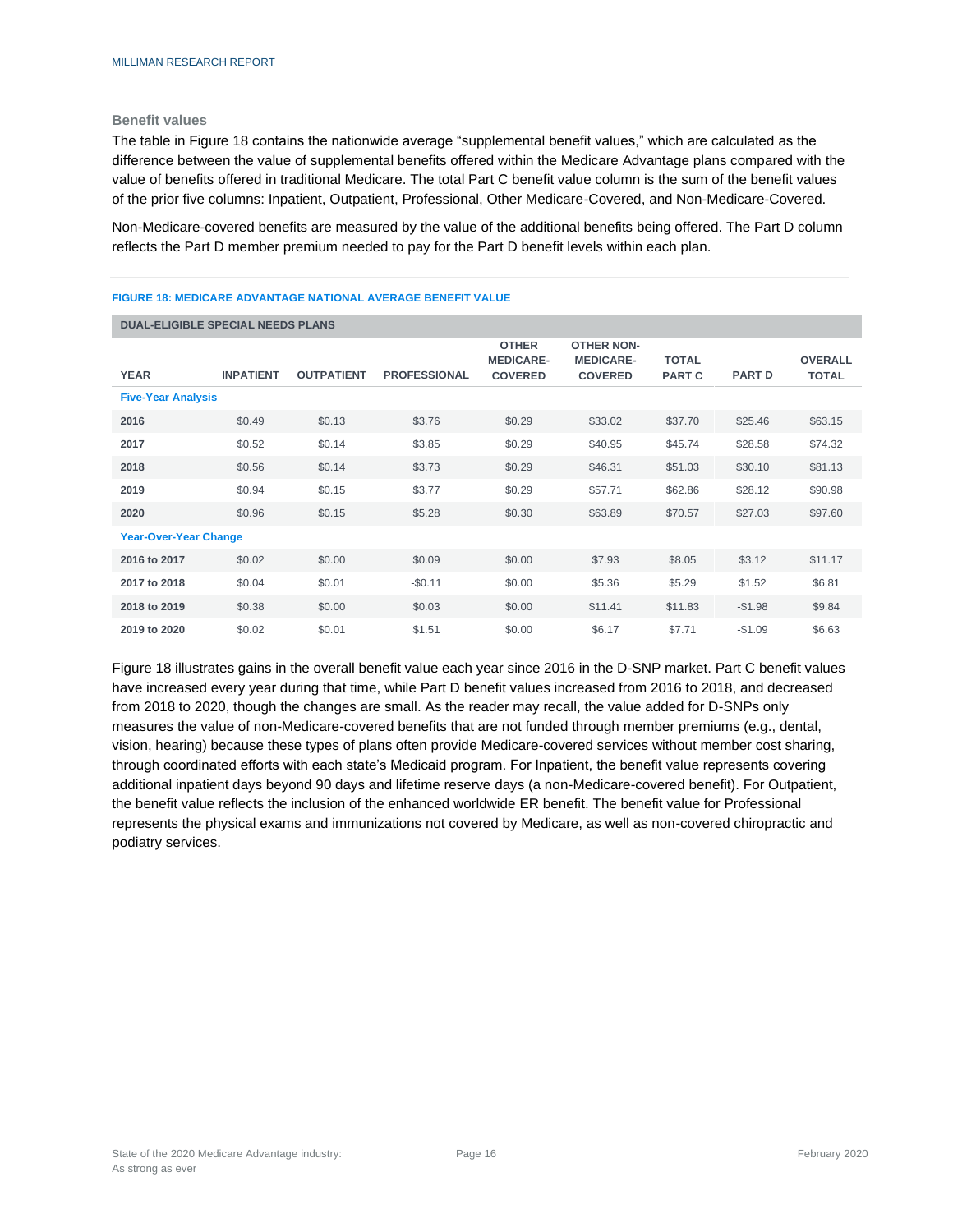#### **Benefit values**

The table in Figure 18 contains the nationwide average "supplemental benefit values," which are calculated as the difference between the value of supplemental benefits offered within the Medicare Advantage plans compared with the value of benefits offered in traditional Medicare. The total Part C benefit value column is the sum of the benefit values of the prior five columns: Inpatient, Outpatient, Professional, Other Medicare-Covered, and Non-Medicare-Covered.

Non-Medicare-covered benefits are measured by the value of the additional benefits being offered. The Part D column reflects the Part D member premium needed to pay for the Part D benefit levels within each plan.

#### **FIGURE 18: MEDICARE ADVANTAGE NATIONAL AVERAGE BENEFIT VALUE**

| <b>DUAL-ELIGIBLE SPECIAL NEEDS PLANS</b> |                  |                   |                     |                                                    |                                                         |                               |               |                                |
|------------------------------------------|------------------|-------------------|---------------------|----------------------------------------------------|---------------------------------------------------------|-------------------------------|---------------|--------------------------------|
| <b>YEAR</b>                              | <b>INPATIENT</b> | <b>OUTPATIENT</b> | <b>PROFESSIONAL</b> | <b>OTHER</b><br><b>MEDICARE-</b><br><b>COVERED</b> | <b>OTHER NON-</b><br><b>MEDICARE-</b><br><b>COVERED</b> | <b>TOTAL</b><br><b>PART C</b> | <b>PART D</b> | <b>OVERALL</b><br><b>TOTAL</b> |
| <b>Five-Year Analysis</b>                |                  |                   |                     |                                                    |                                                         |                               |               |                                |
| 2016                                     | \$0.49           | \$0.13            | \$3.76              | \$0.29                                             | \$33.02                                                 | \$37.70                       | \$25.46       | \$63.15                        |
| 2017                                     | \$0.52           | \$0.14            | \$3.85              | \$0.29                                             | \$40.95                                                 | \$45.74                       | \$28.58       | \$74.32                        |
| 2018                                     | \$0.56           | \$0.14            | \$3.73              | \$0.29                                             | \$46.31                                                 | \$51.03                       | \$30.10       | \$81.13                        |
| 2019                                     | \$0.94           | \$0.15            | \$3.77              | \$0.29                                             | \$57.71                                                 | \$62.86                       | \$28.12       | \$90.98                        |
| 2020                                     | \$0.96           | \$0.15            | \$5.28              | \$0.30                                             | \$63.89                                                 | \$70.57                       | \$27.03       | \$97.60                        |
| <b>Year-Over-Year Change</b>             |                  |                   |                     |                                                    |                                                         |                               |               |                                |
| 2016 to 2017                             | \$0.02           | \$0.00            | \$0.09              | \$0.00                                             | \$7.93                                                  | \$8.05                        | \$3.12        | \$11.17                        |
| 2017 to 2018                             | \$0.04           | \$0.01            | $-$0.11$            | \$0.00                                             | \$5.36                                                  | \$5.29                        | \$1.52        | \$6.81                         |
| 2018 to 2019                             | \$0.38           | \$0.00            | \$0.03              | \$0.00                                             | \$11.41                                                 | \$11.83                       | $-$1.98$      | \$9.84                         |
| 2019 to 2020                             | \$0.02           | \$0.01            | \$1.51              | \$0.00                                             | \$6.17                                                  | \$7.71                        | $-$1.09$      | \$6.63                         |

Figure 18 illustrates gains in the overall benefit value each year since 2016 in the D-SNP market. Part C benefit values have increased every year during that time, while Part D benefit values increased from 2016 to 2018, and decreased from 2018 to 2020, though the changes are small. As the reader may recall, the value added for D-SNPs only measures the value of non-Medicare-covered benefits that are not funded through member premiums (e.g., dental, vision, hearing) because these types of plans often provide Medicare-covered services without member cost sharing, through coordinated efforts with each state's Medicaid program. For Inpatient, the benefit value represents covering additional inpatient days beyond 90 days and lifetime reserve days (a non-Medicare-covered benefit). For Outpatient, the benefit value reflects the inclusion of the enhanced worldwide ER benefit. The benefit value for Professional represents the physical exams and immunizations not covered by Medicare, as well as non-covered chiropractic and podiatry services.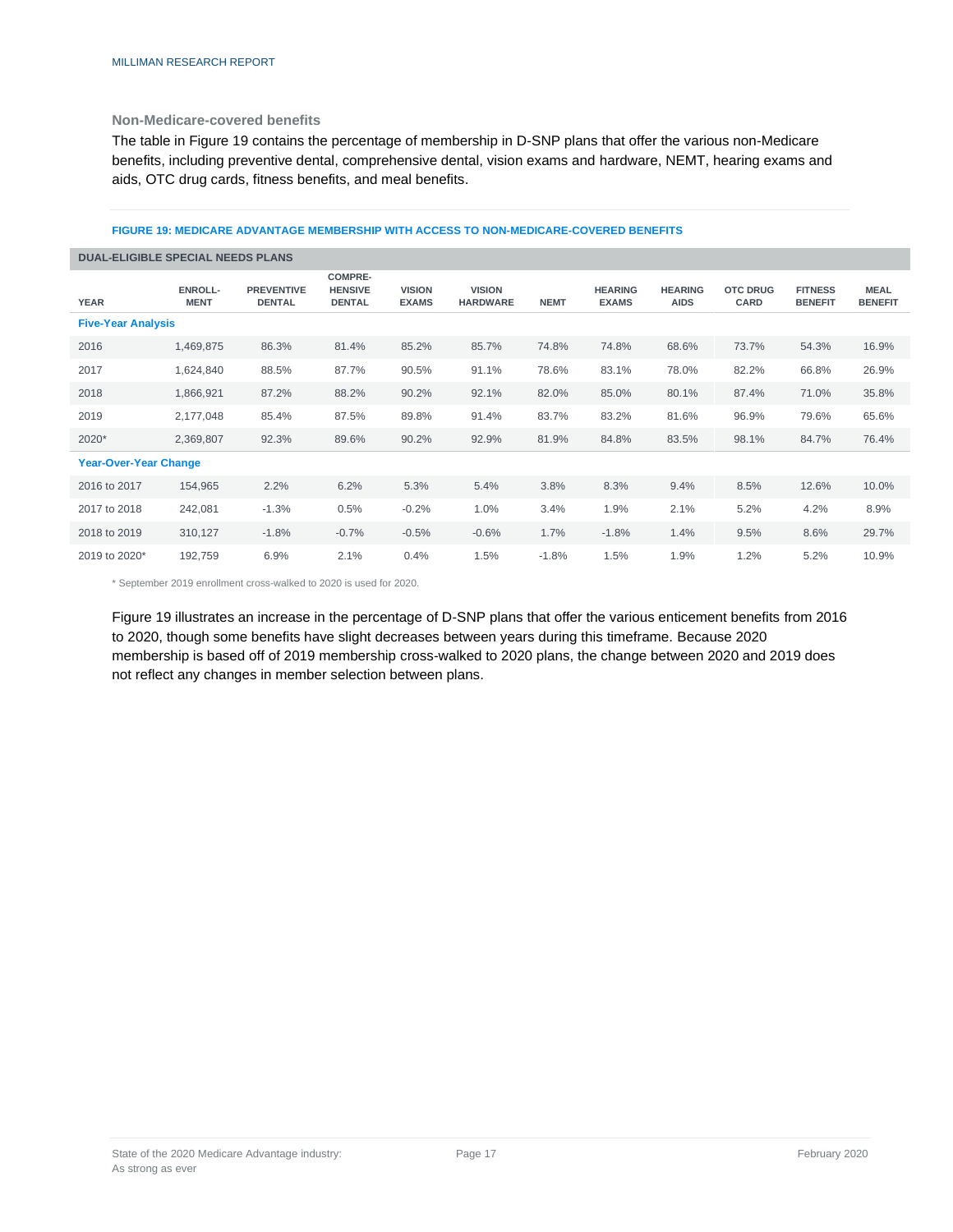#### **Non-Medicare-covered benefits**

The table in Figure 19 contains the percentage of membership in D-SNP plans that offer the various non-Medicare benefits, including preventive dental, comprehensive dental, vision exams and hardware, NEMT, hearing exams and aids, OTC drug cards, fitness benefits, and meal benefits.

#### **FIGURE 19: MEDICARE ADVANTAGE MEMBERSHIP WITH ACCESS TO NON-MEDICARE-COVERED BENEFITS**

| <b>DUAL-ELIGIBLE SPECIAL NEEDS PLANS</b> |                               |                                    |                                                   |                               |                                  |             |                                |                               |                         |                                  |                               |
|------------------------------------------|-------------------------------|------------------------------------|---------------------------------------------------|-------------------------------|----------------------------------|-------------|--------------------------------|-------------------------------|-------------------------|----------------------------------|-------------------------------|
| <b>YEAR</b>                              | <b>ENROLL-</b><br><b>MENT</b> | <b>PREVENTIVE</b><br><b>DENTAL</b> | <b>COMPRE-</b><br><b>HENSIVE</b><br><b>DENTAL</b> | <b>VISION</b><br><b>EXAMS</b> | <b>VISION</b><br><b>HARDWARE</b> | <b>NEMT</b> | <b>HEARING</b><br><b>EXAMS</b> | <b>HEARING</b><br><b>AIDS</b> | <b>OTC DRUG</b><br>CARD | <b>FITNESS</b><br><b>BENEFIT</b> | <b>MEAL</b><br><b>BENEFIT</b> |
| <b>Five-Year Analysis</b>                |                               |                                    |                                                   |                               |                                  |             |                                |                               |                         |                                  |                               |
| 2016                                     | 1,469,875                     | 86.3%                              | 81.4%                                             | 85.2%                         | 85.7%                            | 74.8%       | 74.8%                          | 68.6%                         | 73.7%                   | 54.3%                            | 16.9%                         |
| 2017                                     | 1,624,840                     | 88.5%                              | 87.7%                                             | 90.5%                         | 91.1%                            | 78.6%       | 83.1%                          | 78.0%                         | 82.2%                   | 66.8%                            | 26.9%                         |
| 2018                                     | 1,866,921                     | 87.2%                              | 88.2%                                             | 90.2%                         | 92.1%                            | 82.0%       | 85.0%                          | 80.1%                         | 87.4%                   | 71.0%                            | 35.8%                         |
| 2019                                     | 2,177,048                     | 85.4%                              | 87.5%                                             | 89.8%                         | 91.4%                            | 83.7%       | 83.2%                          | 81.6%                         | 96.9%                   | 79.6%                            | 65.6%                         |
| 2020*                                    | 2,369,807                     | 92.3%                              | 89.6%                                             | 90.2%                         | 92.9%                            | 81.9%       | 84.8%                          | 83.5%                         | 98.1%                   | 84.7%                            | 76.4%                         |
| <b>Year-Over-Year Change</b>             |                               |                                    |                                                   |                               |                                  |             |                                |                               |                         |                                  |                               |
| 2016 to 2017                             | 154,965                       | 2.2%                               | 6.2%                                              | 5.3%                          | 5.4%                             | 3.8%        | 8.3%                           | 9.4%                          | 8.5%                    | 12.6%                            | 10.0%                         |
| 2017 to 2018                             | 242,081                       | $-1.3%$                            | 0.5%                                              | $-0.2%$                       | 1.0%                             | 3.4%        | 1.9%                           | 2.1%                          | 5.2%                    | 4.2%                             | 8.9%                          |
| 2018 to 2019                             | 310,127                       | $-1.8%$                            | $-0.7%$                                           | $-0.5%$                       | $-0.6%$                          | 1.7%        | $-1.8%$                        | 1.4%                          | 9.5%                    | 8.6%                             | 29.7%                         |
| 2019 to 2020*                            | 192,759                       | 6.9%                               | 2.1%                                              | 0.4%                          | 1.5%                             | $-1.8%$     | 1.5%                           | 1.9%                          | 1.2%                    | 5.2%                             | 10.9%                         |

\* September 2019 enrollment cross-walked to 2020 is used for 2020.

Figure 19 illustrates an increase in the percentage of D-SNP plans that offer the various enticement benefits from 2016 to 2020, though some benefits have slight decreases between years during this timeframe. Because 2020 membership is based off of 2019 membership cross-walked to 2020 plans, the change between 2020 and 2019 does not reflect any changes in member selection between plans.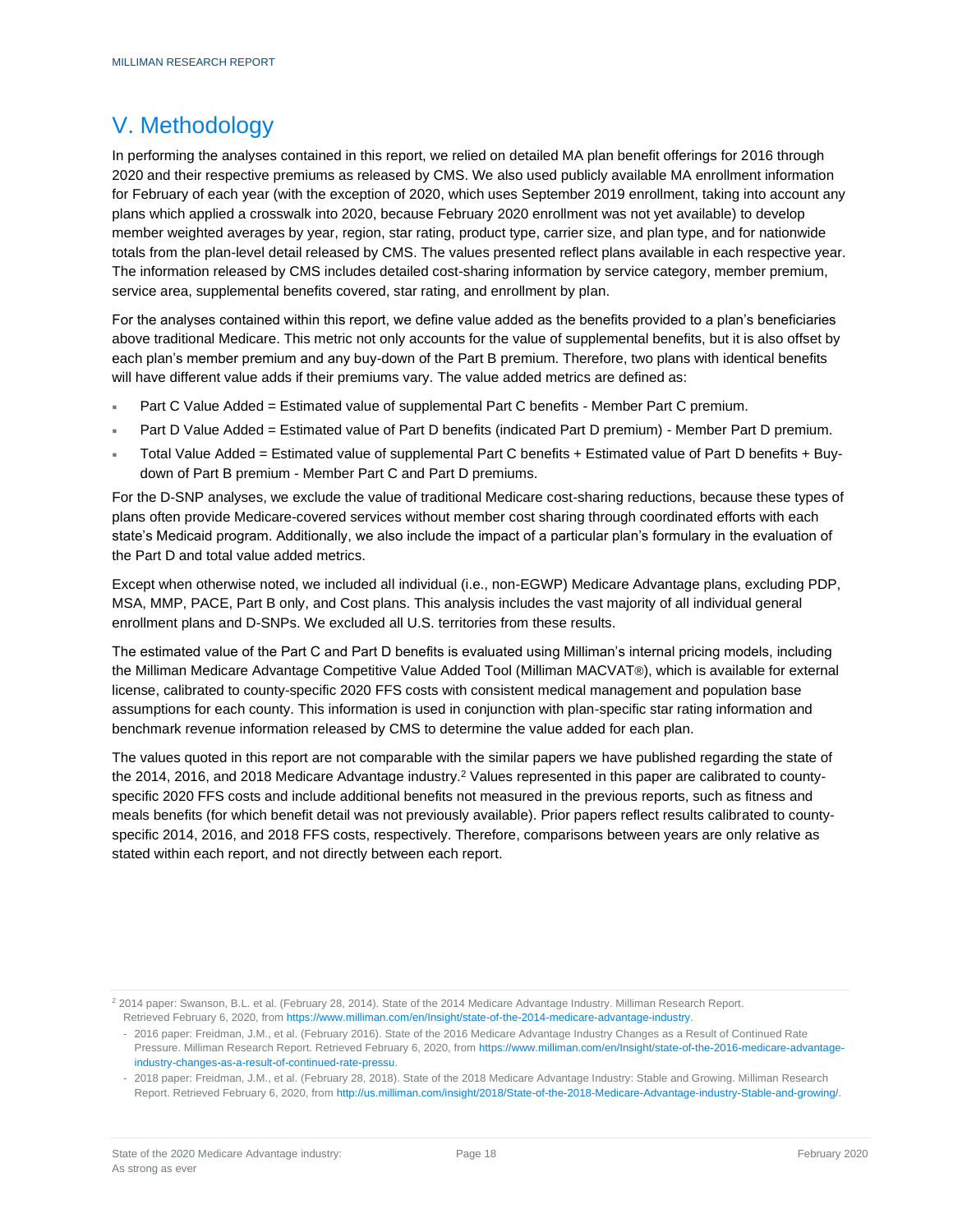### <span id="page-19-0"></span>V. Methodology

In performing the analyses contained in this report, we relied on detailed MA plan benefit offerings for 2016 through 2020 and their respective premiums as released by CMS. We also used publicly available MA enrollment information for February of each year (with the exception of 2020, which uses September 2019 enrollment, taking into account any plans which applied a crosswalk into 2020, because February 2020 enrollment was not yet available) to develop member weighted averages by year, region, star rating, product type, carrier size, and plan type, and for nationwide totals from the plan-level detail released by CMS. The values presented reflect plans available in each respective year. The information released by CMS includes detailed cost-sharing information by service category, member premium, service area, supplemental benefits covered, star rating, and enrollment by plan.

For the analyses contained within this report, we define value added as the benefits provided to a plan's beneficiaries above traditional Medicare. This metric not only accounts for the value of supplemental benefits, but it is also offset by each plan's member premium and any buy-down of the Part B premium. Therefore, two plans with identical benefits will have different value adds if their premiums vary. The value added metrics are defined as:

- Part C Value Added = Estimated value of supplemental Part C benefits Member Part C premium.
- Part D Value Added = Estimated value of Part D benefits (indicated Part D premium) Member Part D premium.
- Total Value Added = Estimated value of supplemental Part C benefits + Estimated value of Part D benefits + Buydown of Part B premium - Member Part C and Part D premiums.

For the D-SNP analyses, we exclude the value of traditional Medicare cost-sharing reductions, because these types of plans often provide Medicare-covered services without member cost sharing through coordinated efforts with each state's Medicaid program. Additionally, we also include the impact of a particular plan's formulary in the evaluation of the Part D and total value added metrics.

Except when otherwise noted, we included all individual (i.e., non-EGWP) Medicare Advantage plans, excluding PDP, MSA, MMP, PACE, Part B only, and Cost plans. This analysis includes the vast majority of all individual general enrollment plans and D-SNPs. We excluded all U.S. territories from these results.

The estimated value of the Part C and Part D benefits is evaluated using Milliman's internal pricing models, including the Milliman Medicare Advantage Competitive Value Added Tool (Milliman MACVAT®), which is available for external license, calibrated to county-specific 2020 FFS costs with consistent medical management and population base assumptions for each county. This information is used in conjunction with plan-specific star rating information and benchmark revenue information released by CMS to determine the value added for each plan.

The values quoted in this report are not comparable with the similar papers we have published regarding the state of the 2014, 2016, and 2018 Medicare Advantage industry.<sup>2</sup> Values represented in this paper are calibrated to countyspecific 2020 FFS costs and include additional benefits not measured in the previous reports, such as fitness and meals benefits (for which benefit detail was not previously available). Prior papers reflect results calibrated to countyspecific 2014, 2016, and 2018 FFS costs, respectively. Therefore, comparisons between years are only relative as stated within each report, and not directly between each report.

<sup>&</sup>lt;sup>2</sup> 2014 paper: Swanson, B.L. et al. (February 28, 2014). State of the 2014 Medicare Advantage Industry. Milliman Research Report. Retrieved February 6, 2020, fro[m https://www.milliman.com/en/Insight/state-of-the-2014-medicare-advantage-industry.](https://www.milliman.com/en/Insight/state-of-the-2014-medicare-advantage-industry)

<sup>-</sup> 2016 paper: Freidman, J.M., et al. (February 2016). State of the 2016 Medicare Advantage Industry Changes as a Result of Continued Rate Pressure. Milliman Research Report. Retrieved February 6, 2020, from [https://www.milliman.com/en/Insight/state-of-the-2016-medicare-advantage](https://www.milliman.com/en/Insight/state-of-the-2016-medicare-advantage-industry-changes-as-a-result-of-continued-rate-pressu)[industry-changes-as-a-result-of-continued-rate-pressu.](https://www.milliman.com/en/Insight/state-of-the-2016-medicare-advantage-industry-changes-as-a-result-of-continued-rate-pressu)

<sup>-</sup> 2018 paper: Freidman, J.M., et al. (February 28, 2018). State of the 2018 Medicare Advantage Industry: Stable and Growing. Milliman Research Report. Retrieved February 6, 2020, fro[m http://us.milliman.com/insight/2018/State-of-the-2018-Medicare-Advantage-industry-Stable-and-growing/.](http://us.milliman.com/insight/2018/State-of-the-2018-Medicare-Advantage-industry-Stable-and-growing/)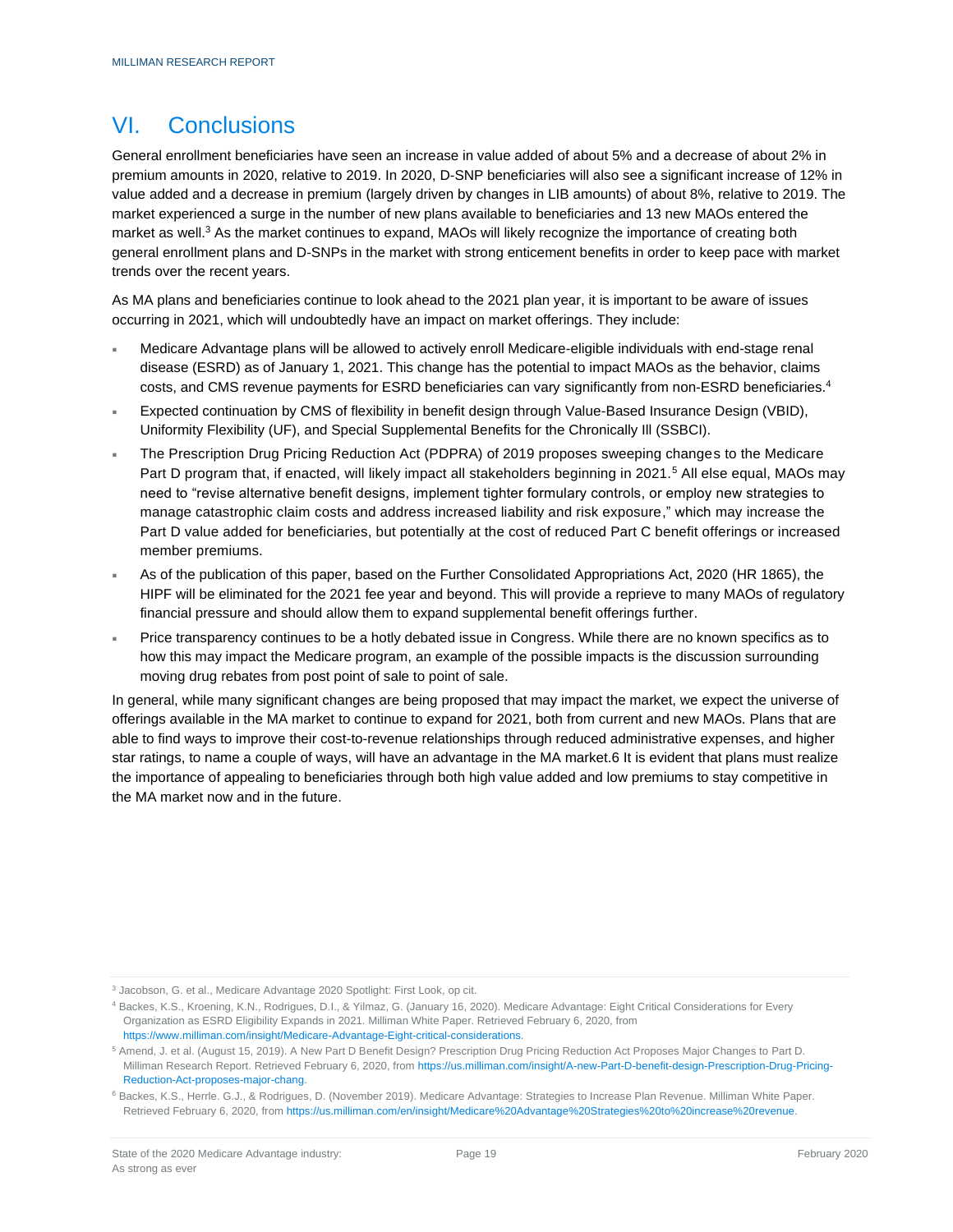### <span id="page-20-0"></span>VI. Conclusions

General enrollment beneficiaries have seen an increase in value added of about 5% and a decrease of about 2% in premium amounts in 2020, relative to 2019. In 2020, D-SNP beneficiaries will also see a significant increase of 12% in value added and a decrease in premium (largely driven by changes in LIB amounts) of about 8%, relative to 2019. The market experienced a surge in the number of new plans available to beneficiaries and 13 new MAOs entered the market as well.<sup>3</sup> As the market continues to expand, MAOs will likely recognize the importance of creating both general enrollment plans and D-SNPs in the market with strong enticement benefits in order to keep pace with market trends over the recent years.

As MA plans and beneficiaries continue to look ahead to the 2021 plan year, it is important to be aware of issues occurring in 2021, which will undoubtedly have an impact on market offerings. They include:

- Medicare Advantage plans will be allowed to actively enroll Medicare-eligible individuals with end-stage renal disease (ESRD) as of January 1, 2021. This change has the potential to impact MAOs as the behavior, claims costs, and CMS revenue payments for ESRD beneficiaries can vary significantly from non-ESRD beneficiaries.<sup>4</sup>
- Expected continuation by CMS of flexibility in benefit design through Value-Based Insurance Design (VBID), Uniformity Flexibility (UF), and Special Supplemental Benefits for the Chronically Ill (SSBCI).
- The Prescription Drug Pricing Reduction Act (PDPRA) of 2019 proposes sweeping changes to the Medicare Part D program that, if enacted, will likely impact all stakeholders beginning in 2021.<sup>5</sup> All else equal, MAOs may need to "revise alternative benefit designs, implement tighter formulary controls, or employ new strategies to manage catastrophic claim costs and address increased liability and risk exposure," which may increase the Part D value added for beneficiaries, but potentially at the cost of reduced Part C benefit offerings or increased member premiums.
- As of the publication of this paper, based on the Further Consolidated Appropriations Act, 2020 (HR 1865), the HIPF will be eliminated for the 2021 fee year and beyond. This will provide a reprieve to many MAOs of regulatory financial pressure and should allow them to expand supplemental benefit offerings further.
- Price transparency continues to be a hotly debated issue in Congress. While there are no known specifics as to how this may impact the Medicare program, an example of the possible impacts is the discussion surrounding moving drug rebates from post point of sale to point of sale.

In general, while many significant changes are being proposed that may impact the market, we expect the universe of offerings available in the MA market to continue to expand for 2021, both from current and new MAOs. Plans that are able to find ways to improve their cost-to-revenue relationships through reduced administrative expenses, and higher star ratings, to name a couple of ways, will have an advantage in the MA market.6 It is evident that plans must realize the importance of appealing to beneficiaries through both high value added and low premiums to stay competitive in the MA market now and in the future.

<sup>3</sup> Jacobson, G. et al., Medicare Advantage 2020 Spotlight: First Look, op cit.

<sup>4</sup> Backes, K.S., Kroening, K.N., Rodrigues, D.I., & Yilmaz, G. (January 16, 2020). Medicare Advantage: Eight Critical Considerations for Every Organization as ESRD Eligibility Expands in 2021. Milliman White Paper. Retrieved February 6, 2020, from [https://www.milliman.com/insight/Medicare-Advantage-Eight-critical-considerations.](https://www.milliman.com/insight/Medicare-Advantage-Eight-critical-considerations)

<sup>5</sup> Amend, J. et al. (August 15, 2019). A New Part D Benefit Design? Prescription Drug Pricing Reduction Act Proposes Major Changes to Part D. Milliman Research Report. Retrieved February 6, 2020, fro[m https://us.milliman.com/insight/A-new-Part-D-benefit-design-Prescription-Drug-Pricing-](https://us.milliman.com/insight/A-new-Part-D-benefit-design-Prescription-Drug-Pricing-Reduction-Act-proposes-major-chang)[Reduction-Act-proposes-major-chang.](https://us.milliman.com/insight/A-new-Part-D-benefit-design-Prescription-Drug-Pricing-Reduction-Act-proposes-major-chang)

<sup>6</sup> Backes, K.S., Herrle. G.J., & Rodrigues, D. (November 2019). Medicare Advantage: Strategies to Increase Plan Revenue. Milliman White Paper. Retrieved February 6, 2020, fro[m https://us.milliman.com/en/insight/Medicare%20Advantage%20Strategies%20to%20increase%20revenue.](https://us.milliman.com/en/insight/Medicare%20Advantage%20Strategies%20to%20increase%20revenue)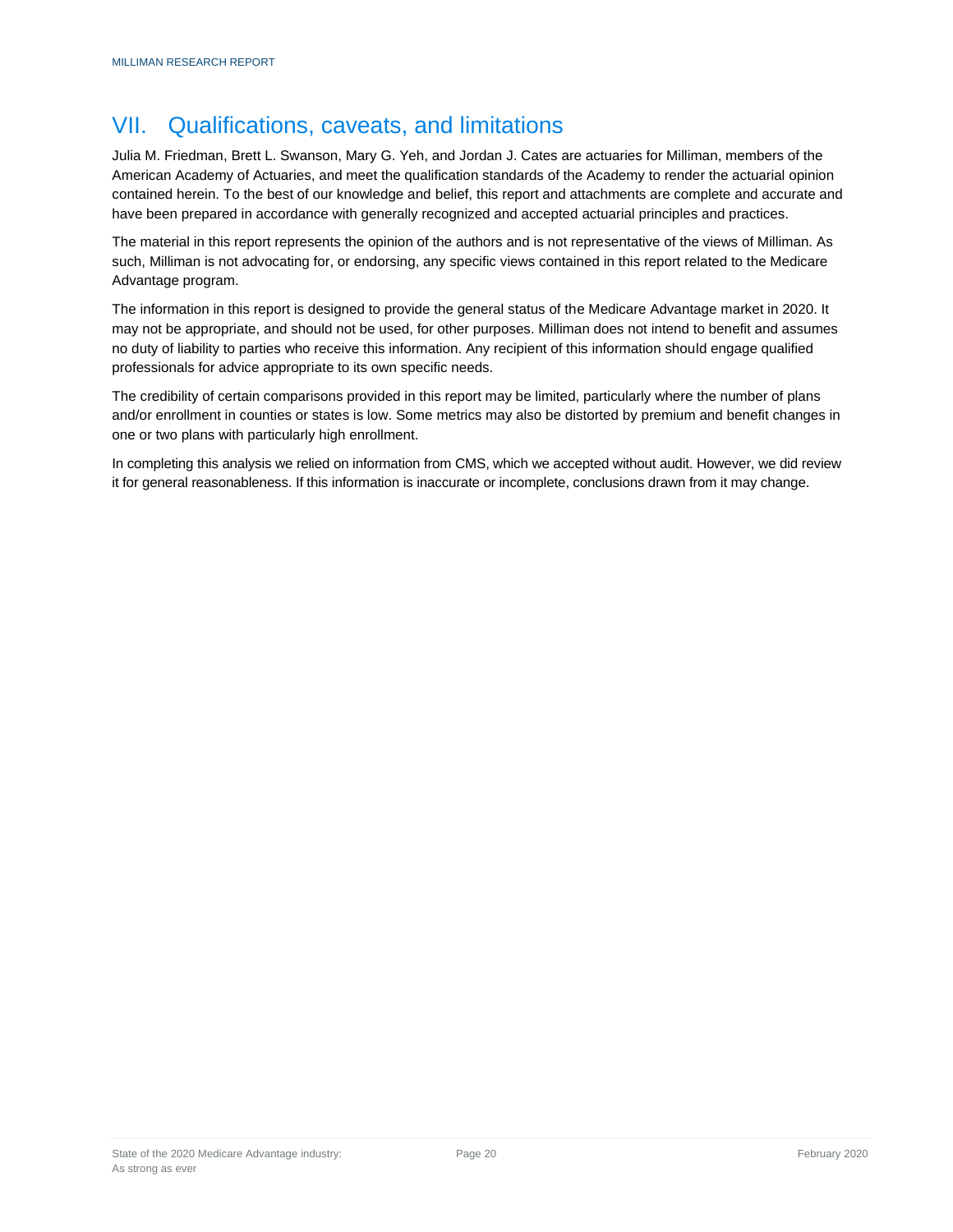### <span id="page-21-0"></span>VII. Qualifications, caveats, and limitations

Julia M. Friedman, Brett L. Swanson, Mary G. Yeh, and Jordan J. Cates are actuaries for Milliman, members of the American Academy of Actuaries, and meet the qualification standards of the Academy to render the actuarial opinion contained herein. To the best of our knowledge and belief, this report and attachments are complete and accurate and have been prepared in accordance with generally recognized and accepted actuarial principles and practices.

The material in this report represents the opinion of the authors and is not representative of the views of Milliman. As such, Milliman is not advocating for, or endorsing, any specific views contained in this report related to the Medicare Advantage program.

The information in this report is designed to provide the general status of the Medicare Advantage market in 2020. It may not be appropriate, and should not be used, for other purposes. Milliman does not intend to benefit and assumes no duty of liability to parties who receive this information. Any recipient of this information should engage qualified professionals for advice appropriate to its own specific needs.

The credibility of certain comparisons provided in this report may be limited, particularly where the number of plans and/or enrollment in counties or states is low. Some metrics may also be distorted by premium and benefit changes in one or two plans with particularly high enrollment.

In completing this analysis we relied on information from CMS, which we accepted without audit. However, we did review it for general reasonableness. If this information is inaccurate or incomplete, conclusions drawn from it may change.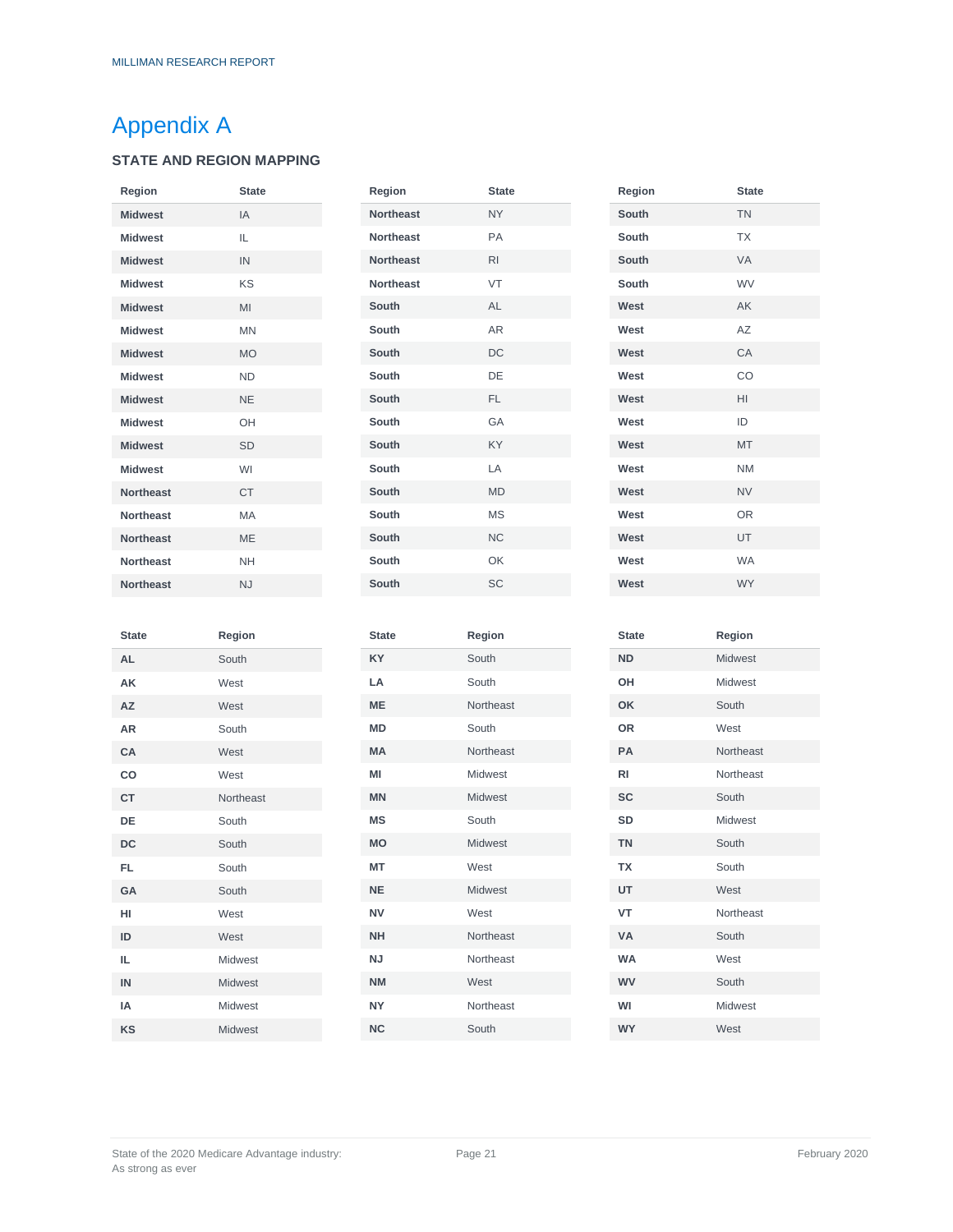# <span id="page-22-0"></span>Appendix A

### **STATE AND REGION MAPPING**

| Region           | <b>State</b> |
|------------------|--------------|
| <b>Midwest</b>   | IA           |
| <b>Midwest</b>   | $\mathbf{H}$ |
| <b>Midwest</b>   | IN           |
| <b>Midwest</b>   | KS           |
| <b>Midwest</b>   | MI           |
| <b>Midwest</b>   | <b>MN</b>    |
| <b>Midwest</b>   | <b>MO</b>    |
| <b>Midwest</b>   | <b>ND</b>    |
| <b>Midwest</b>   | <b>NF</b>    |
| <b>Midwest</b>   | OH           |
| <b>Midwest</b>   | <b>SD</b>    |
| <b>Midwest</b>   | WI           |
| <b>Northeast</b> | <b>CT</b>    |
| <b>Northeast</b> | MA           |
| <b>Northeast</b> | MF           |
| <b>Northeast</b> | <b>NH</b>    |
| <b>Northeast</b> | N.I          |

| Region           | <b>State</b> |
|------------------|--------------|
| <b>Northeast</b> | <b>NY</b>    |
| <b>Northeast</b> | PA           |
| <b>Northeast</b> | RI           |
| <b>Northeast</b> | VT           |
| South            | AI           |
| South            | AR           |
| South            | DC           |
| South            | DE           |
| South            | FL.          |
| South            | GA           |
| South            | KY           |
| South            | I_A          |
| <b>South</b>     | <b>MD</b>    |
| South            | MS           |
| South            | <b>NC</b>    |
| South            | OK           |
| South            | SC           |

| Region | <b>State</b> |
|--------|--------------|
| South  | <b>TN</b>    |
| South  | <b>TX</b>    |
| South  | VA           |
| South  | <b>WV</b>    |
| West   | AK           |
| West   | <b>AZ</b>    |
| West   | CA           |
| West   | CO           |
| West   | HI           |
| West   | ID           |
| West   | <b>MT</b>    |
| West   | <b>NM</b>    |
| West   | <b>NV</b>    |
| West   | OR           |
| West   | UT           |
| West   | <b>WA</b>    |
| West   | <b>WY</b>    |

| <b>State</b> | Region         |
|--------------|----------------|
| AL           | South          |
| AK           | West           |
| AZ           | West           |
| AR           | South          |
| CA           | West           |
| CO           | West           |
| <b>CT</b>    | Northeast      |
| DE           | South          |
| <b>DC</b>    | South          |
| <b>FL</b>    | South          |
| GA           | South          |
| HI           | West           |
| ID           | West           |
| IL           | Midwest        |
| IN           | Midwest        |
| IΑ           | <b>Midwest</b> |
| KS           | <b>Midwest</b> |

| Region         |
|----------------|
| South          |
| South          |
| Northeast      |
| South          |
| Northeast      |
| Midwest        |
| <b>Midwest</b> |
| South          |
| <b>Midwest</b> |
| West           |
| Midwest        |
| West           |
| Northeast      |
| Northeast      |
| West           |
| Northeast      |
| South          |
|                |

| <b>Midwest</b><br><b>ND</b><br>Midwest<br>OH<br>OK<br>South<br>OR<br>West<br>PA<br>Northeast<br><b>RI</b><br>Northeast<br><b>SC</b><br>South<br><b>SD</b><br><b>Midwest</b><br><b>TN</b><br>South<br><b>TX</b><br>South |
|-------------------------------------------------------------------------------------------------------------------------------------------------------------------------------------------------------------------------|
|                                                                                                                                                                                                                         |
|                                                                                                                                                                                                                         |
|                                                                                                                                                                                                                         |
|                                                                                                                                                                                                                         |
|                                                                                                                                                                                                                         |
|                                                                                                                                                                                                                         |
|                                                                                                                                                                                                                         |
|                                                                                                                                                                                                                         |
|                                                                                                                                                                                                                         |
|                                                                                                                                                                                                                         |
| UT<br>West                                                                                                                                                                                                              |
| <b>VT</b><br>Northeast                                                                                                                                                                                                  |
| <b>VA</b><br>South                                                                                                                                                                                                      |
| <b>WA</b><br>West                                                                                                                                                                                                       |
| <b>WV</b><br>South                                                                                                                                                                                                      |
| WI<br><b>Midwest</b>                                                                                                                                                                                                    |
| <b>WY</b><br>West                                                                                                                                                                                                       |